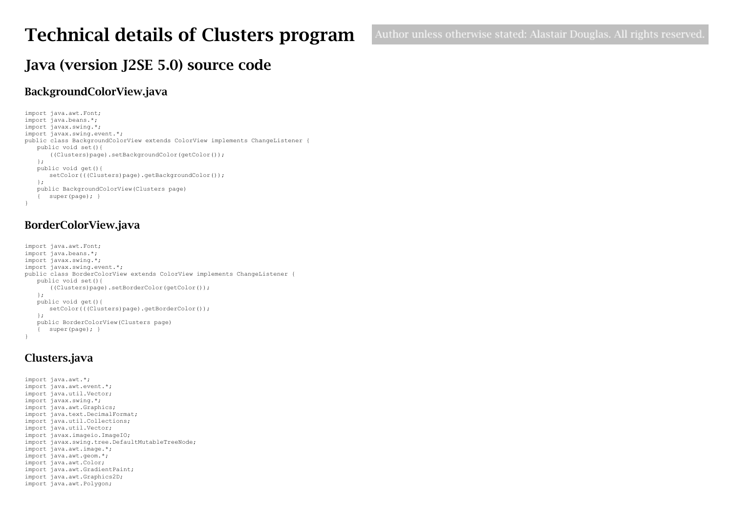# Technical details of Clusters program

# Java (version J2SE 5.0) source code

### BackgroundColorView.java

```
import java.awt.Font;
import java.beans.*;
import javax.swing.*;
import javax.swing.event.*;
public class BackgroundColorView extends ColorView implements ChangeListener {
   public void set(){
       ((Clusters)page).setBackgroundColor(getColor());
   };
   public void get(){
      setColor(((Clusters)page).getBackgroundColor());
   };
   public BackgroundColorView(Clusters page)
   { super(page); }
}
```
### BorderColorView.java

```
import java.awt.Font;
import java.beans.*;
import javax.swing.*;
import javax.swing.event.*;
public class BorderColorView extends ColorView implements ChangeListener {
   public void set(){
      ((Clusters)page).setBorderColor(getColor());
   };
   public void get(){
      setColor(((Clusters)page).getBorderColor());
   };
   public BorderColorView(Clusters page)
      super(page);}
}
```
## Clusters.java

```
import java.awt.*;
import java.awt.event.*;
import java.util.Vector;
import javax.swing.*;
import java.awt.Graphics;
import java.text.DecimalFormat;
import java.util.Collections;
import java.util.Vector;
import javax.imageio.ImageIO;
import javax.swing.tree.DefaultMutableTreeNode;
import java.awt.image.*;
import java.awt.geom.*;
import java.awt.Color;
import java.awt.GradientPaint;
import java.awt.Graphics2D;
import java.awt.Polygon;
```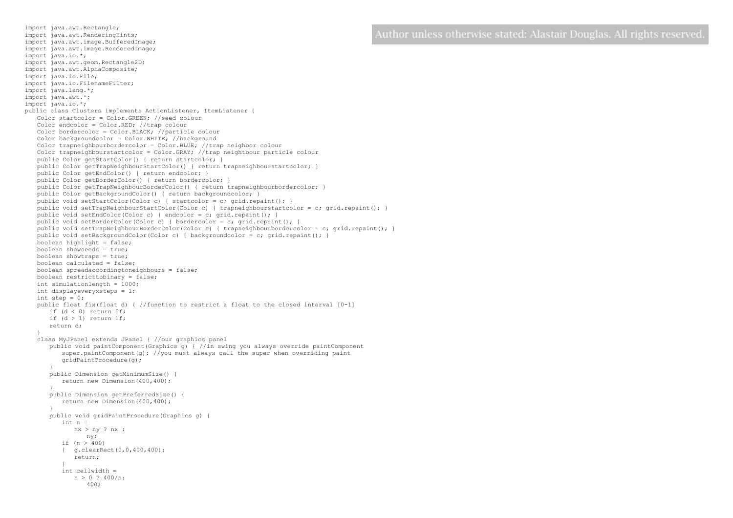import java.awt.RenderingHints; import java.awt.image.BufferedImage; import java.awt.image.RenderedImage; import java.io.\*; import java.awt.geom.Rectangle2D; import java.awt.AlphaComposite; import java.io.File; import java.io.FilenameFilter; import java.lang.\*; import java.awt.\*; import java.io.\*; public class Clusters implements ActionListener, ItemListener { Color startcolor = Color.GREEN; //seed colour Color endcolor = Color.RED; //trap colour Color bordercolor = Color.BLACK; //particle colour Color backgroundcolor = Color.WHITE; //background Color trapneighbourbordercolor = Color.BLUE; //trap neighbor colour Color trapneighbourstartcolor = Color.GRAY; //trap neightbour particle colour public Color getStartColor() { return startcolor; } public Color getTrapNeighbourStartColor() { return trapneighbourstartcolor; } public Color getEndColor() { return endcolor; } public Color getBorderColor() { return bordercolor; } public Color getTrapNeighbourBorderColor() { return trapneighbourbordercolor; } public Color getBackgroundColor() { return backgroundcolor; } public void setStartColor(Color c) { startcolor = c; grid.repaint(); } public void setTrapNeighbourStartColor(Color c) { trapneighbourstartcolor = c; grid.repaint(); } public void setEndColor(Color c) { endcolor = c; grid.repaint(); } public void setBorderColor(Color c) { bordercolor = c; qrid.repaint(); } public void setTrapNeighbourBorderColor(Color c) { trapneighbourbordercolor = c; grid.repaint(); } public void setBackgroundColor(Color c) { backgroundcolor = c; grid.repaint(); } boolean highlight = false; boolean showseeds = true; boolean showtraps = true; boolean calculated = false; boolean spreadaccordingtoneighbours = false; boolean restricttobinary = false; int simulationlength = 1000; int displayeveryxsteps = 1; int step =  $0$ ; public float fix(float d) { //function to restrict a float to the closed interval [0-1] if  $(d < 0)$  return  $0f$ ; if  $(d > 1)$  return 1f; return d; } class MyJPanel extends JPanel { //our graphics panel public void paintComponent(Graphics g) { //in swing you always override paintComponent super.paintComponent(q); //you must always call the super when overriding paint gridPaintProcedure(g); } public Dimension getMinimumSize() { return new Dimension(400,400); } public Dimension getPreferredSize() { return new Dimension(400,400); } public void gridPaintProcedure(Graphics g) {  $int n =$ nx > ny ? nx : ny; if (n > 400) { g.clearRect(0,0,400,400); return; } int cellwidth =  $n > 0$  ? 400/n: 400;

import java.awt.Rectangle;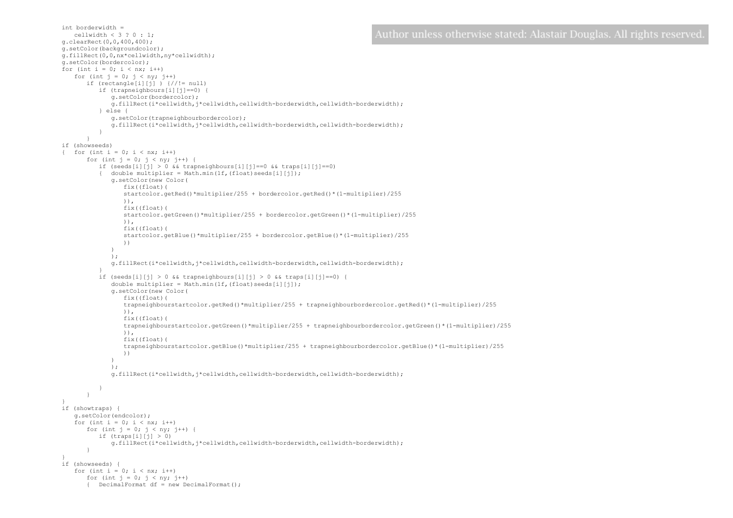Author unless otherwise stated: Alastair Douglas. All rights reserved

```
cellwidth \lt 3 ? 0 \cdot 1:
g.clearRect(0,0,400,400);
g.setColor(backgroundcolor);
g.fillRect(0,0,nx*cellwidth,ny*cellwidth);
g.setColor(bordercolor);
for (int i = 0; i < nx; i++)for (int j = 0; j < ny; j++)if (rectangle[i][j]) \}//!= null)if (trapneighbours[i][j]==0)
             g.setColor(bordercolor);
             g.fillRect(i*cellwidth,j*cellwidth,cellwidth-borderwidth,cellwidth-borderwidth);
          } else {
             g.setColor(trapneighbourbordercolor);
             g.fillRect(i*cellwidth,j*cellwidth,cellwidth-borderwidth,cellwidth-borderwidth);
          }
       }
if (showseeds)
{ for (int i = 0; i < nx; i++)
      for (int j = 0; j < ny; j++) {
         if (seeds[i][j] > 0 && trapneighbours[i][j] == 0 && traps[i][j] == 0)
          { double multiplier = Math.min(1f,(float)seeds[i][j]);
             g.setColor(new Color(
                fix((float)(
                startcolor.getRed()*multiplier/255 + bordercolor.getRed()*(1-multiplier)/255
                )), 
                 fix((float)(
                startcolor.getGreen()*multiplier/255 + bordercolor.getGreen()*(1-multiplier)/255
                )), 
                fix((float)(
                startcolor.getBlue()*multiplier/255 + bordercolor.getBlue()*(1-multiplier)/255
                ))
              )
             );
             g.fillRect(i*cellwidth,j*cellwidth,cellwidth-borderwidth,cellwidth-borderwidth);
          }
          if (seeds[i][j] > 0 && trapneighbours[i][j] > 0 && traps[i][j]==0) {
             double multiplier = Math.min(1f,(float)seeds[i][j]);
             g.setColor(new Color(
                fix((float)(
                trapneighbourstartcolor.getRed()*multiplier/255 + trapneighbourbordercolor.getRed()*(1-multiplier)/255
                )), 
                 fix((float)(
                 trapneighbourstartcolor.getGreen()*multiplier/255 + trapneighbourbordercolor.getGreen()*(1-multiplier)/255
                )), 
                fix((float)(
                trapneighbourstartcolor.getBlue()*multiplier/255 + trapneighbourbordercolor.getBlue()*(1-multiplier)/255
                ))
              )
             );
             g.fillRect(i*cellwidth,j*cellwidth,cellwidth-borderwidth,cellwidth-borderwidth);
          }
      }
if (showtraps) {
   g.setColor(endcolor);
   for (int i = 0; i < nx; i++)for (int j = 0; j < ny; j++) {
         if (traps[i][j] > 0)g.fillRect(i*cellwidth,j*cellwidth,cellwidth-borderwidth,cellwidth-borderwidth);
       }
if (showseeds) {
   for (int i = 0; i < nx; i++)for (int j = 0; j < ny; j++){ DecimalFormat df = new DecimalFormat();
```
int borderwidth =

}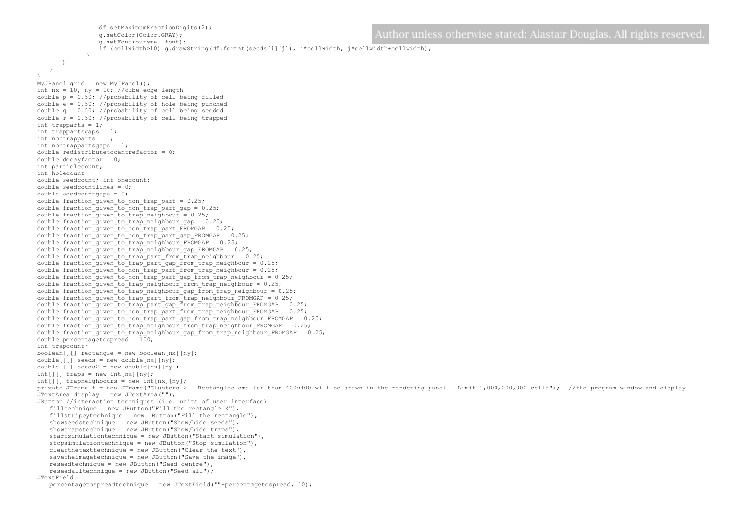```
df.setMaximumFractionDigits(2);
                                                                                             Author unless otherwise stated: Alastair Douglas. All rights reserved
                g.setColor(Color.GRAY);
                g.setFont(oursmallfont);
                if (cellwidth>10) g.drawString(df.format(seeds[i][j]), i*cellwidth, j*cellwidth+cellwidth);
             }
      }
   }
}
MyJPanel grid = new MyJPanel();
int nx = 10, ny = 10; //cube edge length
double p = 0.50; //probability of cell being filled
double e = 0.50; //probability of hole being punched
double q = 0.50; //probability of cell being seeded
double r = 0.50; //probability of cell being trapped
int trapparts = 1;
int trappartsgaps = 1;
int nontrapparts = 1;
int nontrappartsgaps = 1;
double redistributetocentrefactor = 0;
double decayfactor = 0;
int particlecount;
int holecount;
double seedcount; int onecount;
double seedcountlines = 0;
double seedcountgaps = 0;
double fraction given to non trap part = 0.25;
double fraction given to non trap part gap = 0.25;
double fraction given to trap neighbour = 0.25;
double fraction qiven to trap neighbour qap = 0.25;
double fraction given to non trap part FROMGAP = 0.25;
double fraction given to non trap part gap FROMGAP = 0.25;
double fraction given to trap neighbour FROMGAP = 0.25;
double fraction given to trap neighbour gap FROMGAP = 0.25;
double fraction given to trap part from trap neighbour = 0.25;
double fraction given to trap part gap from trap neighbour = 0.25;
double fraction given to non-trap part from trap neighbour = 0.25;
double fraction given to non trap part gap from trap neighbour = 0.25;
double fraction given to trap neighbour from trap neighbour = 0.25;
double fraction given to trap neighbour gap from trap neighbour = 0.25;
double fraction_given_to_trap_part_from_trap_neighbour_FROMGAP = 0.25;
double fraction_given_to_trap_part_gap_from_trap_neighbour_FROMGAP = 0.25;
double fraction_given_to_non_trap_part_from_trap_neighbour_FROMGAP = 0.25;
double fraction_given_to_non_trap_part_gap_from_trap_neighbour_FROMGAP = 0.25;
double fraction given to trap neighbour from trap neighbour FROMGAP = 0.25;
double fraction given to trap neighbour gap from trap neighbour FROMGAP = 0.25;
double percentagetospread = 100;
int trapcount;
boolean[[]] rectangle = new boolean[nx][ny];
double[][] seeds = new double[nx][ny]; 
double[] seeds2 = new double[nx][ny];
int[] traps = new int[nx][ny];
int[] trapneighbours = new int[nx][ny];
private JFrame f = new JFrame("Clusters 2 - Rectangles smaller than 400x400 will be drawn in the rendering panel - Limit 1,000,000,000 cells"); //the program window and display
JTextArea display = new JTextArea("");
JButton //interaction techniques (i.e. units of user interface)
   filltechnique = new JButton("Fill the rectangle X"),
   fillstripeytechnique = new JButton("Fill the rectangle"),
   showseedstechnique = new JButton("Show/hide seeds"),
   showtrapstechnique = new JButton("Show/hide traps"),
   startsimulationtechnique = new JButton("Start simulation"),
   stopsimulationtechnique = new JButton("Stop simulation"),
   clearthetexttechnique = new JButton("Clear the text"),
   savetheimagetechnique = new JButton("Save the image"),
   reseedtechnique = new JButton("Seed centre"),
   reseedalltechnique = new JButton("Seed all");
JTextField
   percentagetospreadtechnique = new JTextField(""+percentagetospread, 10);
```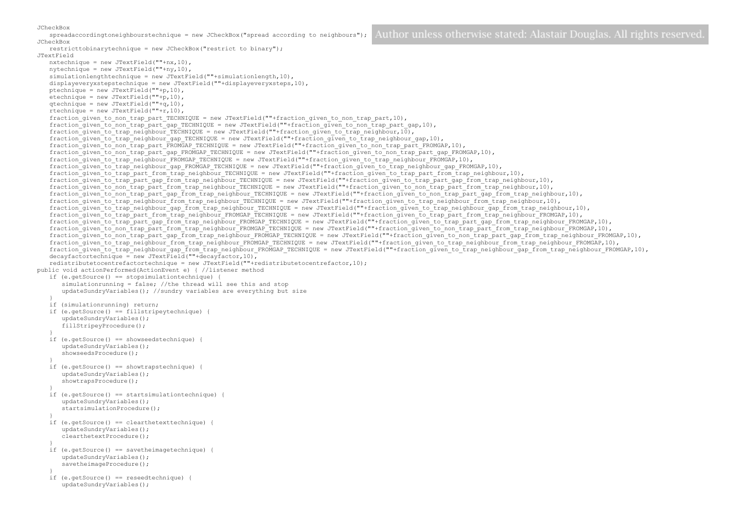JCheckBox

spreadaccordingtoneighbourstechnique = new JCheckBox("spread according to neighbours"); JCheckBox

restricttobinarytechnique = new JCheckBox("restrict to binary"); JTextField nxtechnique = new JTextField(""+nx,10),  $n$ vtechnique = new JTextField(""+ny.10). simulationlengthtechnique = new JTextField(""+simulationlength,10), displayeveryxstepstechnique = new JTextField(""+displayeveryxsteps,10), ptechnique = new JTextField(""+p,10),  $etechnique = new JTextField('""+<sub>p</sub>,10)$ ,  $\alpha$ technique = new JTextField(""+ $\alpha$ ,10), rtechnique = new JTextField(""+r,10), fraction given to non trap part TECHNIQUE = new JTextField(""+fraction given to non trap part,10), fraction\_given\_to\_non\_trap\_part\_gap\_TECHNIQUE = new JTextField(""+fraction\_given\_to\_non\_trap\_part\_gap,10), fraction\_given\_to\_trap\_neighbour\_TECHNIQUE = new JTextField(""+fraction\_given\_to\_trap\_neighbour,10), fraction\_given\_to\_trap\_neighbour\_gap\_TECHNIQUE = new JTextField(""+fraction\_given\_to\_trap\_neighbour\_gap,10), fraction given to non trap part FROMGAP TECHNIQUE = new JTextField(""+fraction given to non trap part FROMGAP,10), fraction\_given\_to\_non\_trap\_part\_gap\_FROMGAP\_TECHNIQUE = new JTextField(""+fraction\_given\_to\_non\_trap\_part\_gap\_FROMGAP,10), fraction given to trap\_neighbour\_FROMGAP\_TECHNIQUE = new JTextField(""+fraction given to trap\_neighbour\_FROMGAP,10),  $fraction$  given to trap neighbour gap FROMGAP TECHNIQUE = new JTextField(""+fraction given to trap neighbour gap FROMGAP,10), fraction\_given\_to\_trap\_part\_from\_trap\_neighbour\_TECHNIQUE = new JTextField(""+fraction\_given\_to\_trap\_part\_from\_trap\_neighbour,10), fraction\_given\_to\_trap\_part\_gap\_from\_trap\_neighbour\_TECHNIQUE = new JTextField(""+fraction\_given\_to\_trap\_part\_gap\_from\_trap\_neighbour,10), fraction\_given\_to\_non\_trap\_part\_from\_trap\_neighbour\_TECHNIQUE = new JTextField(""+fraction\_given\_to\_non\_trap\_part\_from\_trap\_neighbour,10), fraction\_given\_to\_non\_trap\_part\_gap\_from\_trap\_neighbour\_TECHNIQUE = new JTextField(""+fraction\_given\_to\_non\_trap\_part\_gap\_from\_trap\_neighbour,10), fraction\_given\_to\_trap\_neighbour\_from\_trap\_neighbour\_TECHNIQUE = new JTextField(""+fraction\_given\_to\_trap\_neighbour\_from\_trap\_neighbour,10),  $f$  fraction given to trap\_neighbour\_gap\_from\_trap\_neighbour\_TECHNIQUE = new JTextField(""+fraction\_given\_to\_trap\_neighbour\_gap\_from\_trap\_neighbour,10),  $f$ raction\_given\_to\_trap\_part\_from\_trap\_neighbour\_FROMGAP\_TECHNIQUE = new JTextField(""+fraction\_given\_to\_trap\_part\_from\_trap\_neighbour\_FROMGAP,10), fraction\_given\_to\_trap\_part\_gap\_from\_trap\_neighbour\_FROMGAP\_TECHNIQUE = new JTextField(""+fraction\_given\_to\_trap\_part\_gap\_from\_trap\_neighbour\_FROMGAP,10), fraction\_given\_to\_non\_trap\_part\_from\_trap\_neighbour\_FROMGAP\_TECHNIQUE = new JTextField(""+fraction\_given\_to\_non\_trap\_part\_from\_trap\_neighbour\_FROMGAP,10), fraction\_given\_to\_non\_trap\_part\_gap\_from\_trap\_neighbour\_FROMGAP\_TECHNIQUE = new JTextField(""+fraction\_given\_to\_non\_trap\_part\_gap\_from\_trap\_neighbour\_FROMGAP,10), fraction given to trap neighbour from trap neighbour FROMGAP TECHNIQUE = new JTextField(""+fraction given to trap neighbour from trap neighbour FROMGAP,10), fraction\_given\_to\_trap\_neighbour\_gap\_from\_trap\_neighbour\_FROMGAP\_TECHNIQUE = new JTextField(""+fraction\_given\_to\_trap\_neighbour\_gap\_from\_trap\_neighbour\_FROMGAP,10), decayfactortechnique = new JTextField(""+decayfactor, 10), redistributetocentrefactortechnique = new JTextField(""+redistributetocentrefactor,10); public void actionPerformed(ActionEvent e) { //listener method if (e.getSource() == stopsimulationtechnique) { simulationrunning = false; //the thread will see this and stop updateSundryVariables(); //sundry variables are everything but size } if (simulationrunning) return; if (e.getSource() == fillstripeytechnique) { updateSundryVariables(); fillStripeyProcedure(); } if (e.getSource() == showseedstechnique) { updateSundryVariables(); showseedsProcedure(); } if (e.getSource() == showtrapstechnique) { updateSundryVariables(); showtrapsProcedure(); } if (e.getSource() == startsimulationtechnique) { updateSundryVariables(); startsimulationProcedure(); } if (e.getSource() == clearthetexttechnique) { updateSundryVariables(); clearthetextProcedure(); } if (e.getSource() == savetheimagetechnique) { updateSundryVariables(); savetheimageProcedure(); } if (e.getSource() == reseedtechnique) { updateSundryVariables();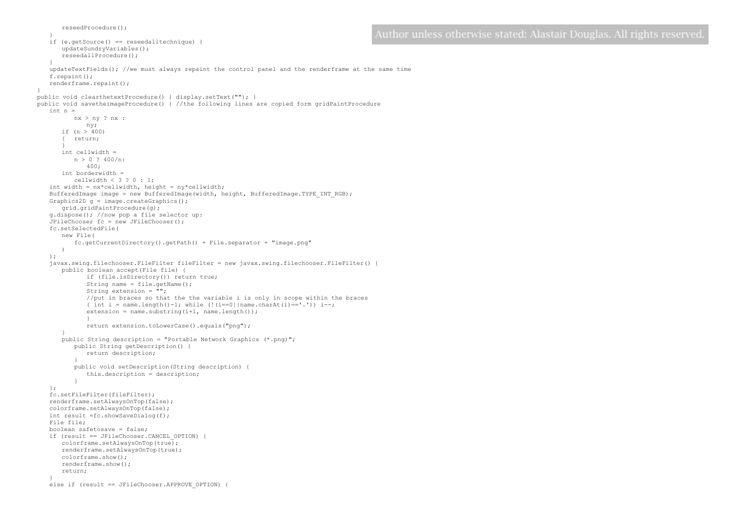```
}
   if (e.getSource() == reseedalltechnique) { 
      updateSundryVariables(); 
      reseedallProcedure(); 
   }
updateTextFields(); //we must always repaint the control panel and the renderframe at the same time
   f.repaint();
   renderframe.repaint();
public void clearthetextProcedure() { display.setText(""); }
public void savetheimageProcedure() { //the following lines are copied form gridPaintProcedure
   int n = 
          nx > ny ? nx :
             ny;
      if (n > 400){ return;
       }
      int cellwidth = 
         n > 0 ? 400/n:
             400;
      int borderwidth = 
          cellwidth < 3 ? 0 : 1;
   int width = nx*cellwidth, height = ny*cellwidth;
   BufferedImage image = new BufferedImage(width, height, BufferedImage.TYPE INT RGB);
   Graphics2D q = \text{image.createGraphics}();
      grid.gridPaintProcedure(g);
   g.dispose(); //now pop a file selector up:
   JFileChooser fc = new JFileChooser();
   fc.setSelectedFile( 
      new File(
          fc.getCurrentDirectory().getPath() + File.separator + "image.png"
      )
   );
   javax.swing.filechooser.FileFilter fileFilter = new javax.swing.filechooser.FileFilter() {
      public boolean accept(File file) {
             if (file.isDirectory()) return true;
             String name = file.getName();
             String extension = "";
             //put in braces so that the the variable i is only in scope within the braces 
             { int i = name.length()-1; while (!(i==0||name.charAt(i)=='.')) i--;extension = name.substring(i+1, name.length());
              }
             return extension.toLowerCase().equals("png");
       }
      public String description = "Portable Network Graphics (*.png)";
          public String getDescription() {
             return description; 
          }
          public void setDescription(String description) {
             this.description = description;
          }
   };
   fc.setFileFilter(fileFilter);
   renderframe.setAlwaysOnTop(false);
   colorframe.setAlwaysOnTop(false);
   int result =fc.showSaveDialog(f);
   File file;
   boolean safetosave = false;
   if (result == JFileChooser.CANCEL_OPTION) {
      colorframe.setAlwaysOnTop(true);
      renderframe.setAlwaysOnTop(true);
      colorframe.show();
      renderframe.show();
      return;
   }
```

```
else if (result == JFileChooser.APPROVE_OPTION) {
```
reseedProcedure();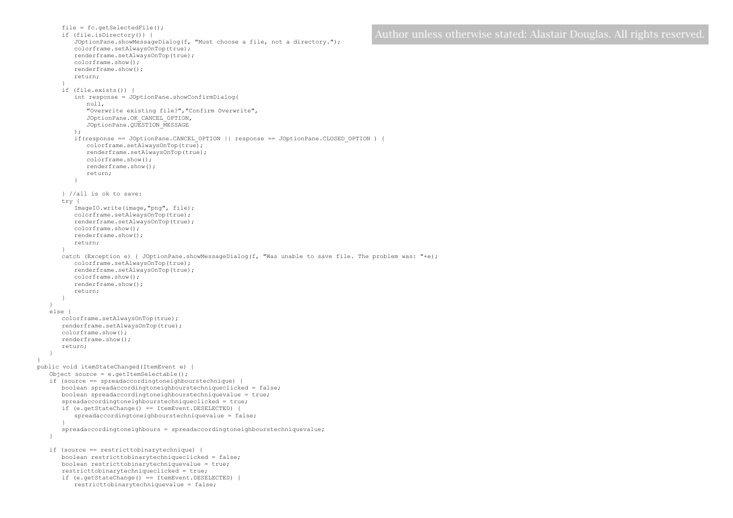```
file = fc.\text{getSelectedFile}();
      if (file.isDirectory()) { 
          JOptionPane.showMessageDialog(f, "Must choose a file, not a directory."); 
          colorframe.setAlwaysOnTop(true);
          renderframe.setAlwaysOnTop(true);
          colorframe.show();
          renderframe.show();
          return; 
       }
      if (file.exists()) {
          int response = JOptionPane.showConfirmDialog(
             null,
              "Overwrite existing file?","Confirm Overwrite",
             JOptionPane.OK_CANCEL_OPTION, 
             JOptionPane.QUESTION_MESSAGE
          );
          if(response == JOptionPane.CANCEL_OPTION || response == JOptionPane.CLOSED_OPTION ) {
             colorframe.setAlwaysOnTop(true);
             renderframe.setAlwaysOnTop(true);
             colorframe.show();
             renderframe.show();
             return;
          }
      } //all is ok to save:
      try { 
          ImageIO.write(image,"png", file); 
          colorframe.setAlwaysOnTop(true);
          renderframe.setAlwaysOnTop(true);
          colorframe.show();
          renderframe.show();
          return;
       }
      catch (Exception e) { JOptionPane.showMessageDialog(f, "Was unable to save file. The problem was: "+e);
          colorframe.setAlwaysOnTop(true);
          renderframe.setAlwaysOnTop(true);
          colorframe.show();
          renderframe.show();
          return;
      }
   }
   else {
      colorframe.setAlwaysOnTop(true);
      renderframe.setAlwaysOnTop(true);
      colorframe.show();
      renderframe.show();
      return;
   }
public void itemStateChanged(ItemEvent e) {
   Object source = e.getItemSelectable();
   if (source == spreadaccordingtoneighbourstechnique) {
      boolean spreadaccordingtoneighbourstechniqueclicked = false;
      boolean spreadaccordingtoneighbourstechniquevalue = true;
      spreadaccordingtoneighbourstechniqueclicked = true;
      if (e.getStateChange() == ItemEvent.DESELECTED) {
          spreadaccordingtoneighbourstechniquevalue = false;
       }
      spreadaccordingtoneighbours = spreadaccordingtoneighbourstechniquevalue;
   }
   if (source == restricttobinarytechnique) {
      boolean restricttobinarytechniqueclicked = false;
      boolean restricttobinarytechniquevalue = true;
      restricttobinarytechniqueclicked = true;
      if (e.getStateChange() == ItemEvent.DESELECTED) {
          restricttobinarytechniquevalue = false;
```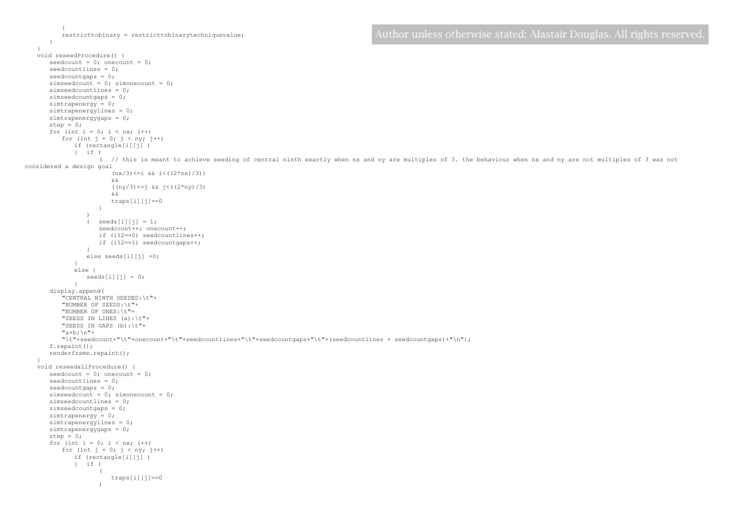```
}
          restricttobinary = restricttobinarytechniquevalue;
      }
   }
void reseedProcedure() {
      seedcount = 0; onecount = 0;
      seedcountlines = 0;
      seedcountgaps = 0;
      simseedcount = 0; simonecount = 0;
      simseedcountlines = 0;
      simseedcountgaps = 0;
      simtrapenergy = 0;
      simtrapenergylines = 0;
      simtrapenergygaps = 0;
      step = 0;for (int i = 0; i < nx; i++)
          for (int j = 0; j < ny; j++)if (rectangle[i][j] ) 
             { if (
                     ( // this is meant to achieve seeding of central ninth exactly when nx and ny are multiples of 3. the behaviour when nx and ny are not multiples of 3 was not
considered a design goal
                        (nx/3) \leq i \& i \leq ((2 * nx)/3))x, x((ny/3)<=j && j<((2*ny)/3)
                        && 
                       traps[i][j]==0
                    ) 
                 \lambda\{ seeds[i][j] = 1;
                    seedcount++; onecount++;
                    if (i%2==0) seedcountlines++;
                    if (i%2==1) seedcountgaps++;
                 }
                 else seeds[i][j] =0;
             }
             else {
                 seeds[i][j] = 0;}
      display.append(
          "CENTRAL NINTH SEEDED:\t"+
          "NUMBER OF SEEDS:\t"+
          "NUMBER OF ONES:\t"+
          "SEEDS IN LINES (a):\t"+
          "SEEDS IN GAPS (b):\t"+
          "a+b:\n\frac{m+1}{2}"\t"+seedcount+"\t"+onecount+"\t"+seedcountlines+"\t"+seedcountgaps+"\t"+(seedcountlines + seedcountgaps)+"\n");
      f.repaint();
      renderframe.repaint();
   }
   void reseedallProcedure() {
      seedcount = 0; onecount = 0;
      seedcountlines = 0;
      seedcountgaps = 0;
      simseedcount = 0; simonecount = 0;
      simseedcountlines = 0;
      simseedcountgaps = 0;
      simtrapenergy = 0;
      simtrapenergylines = 0;
      simtrapenergygaps = 0;
      step = 0;for (int i = 0; i < nx; i++)
          for (int j = 0; j < ny; j++)if (rectangle[i][j] ) 
             { if (
                     ( 
                        traps[i][j]==0
```
)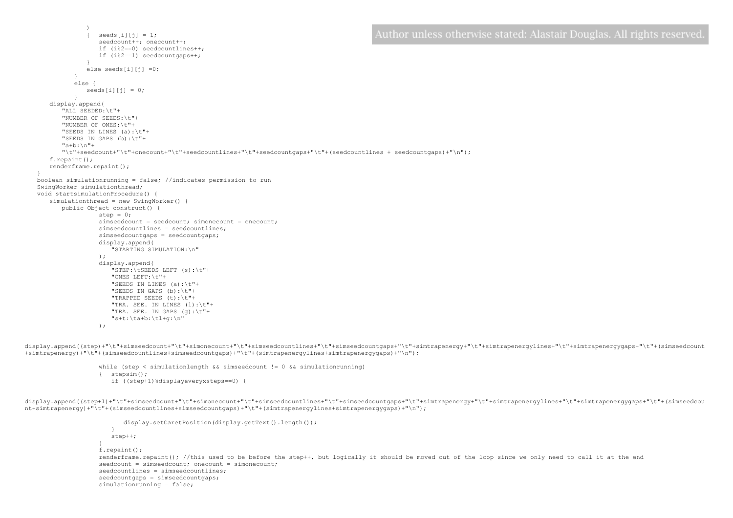```
) 
                seeds[i][i] = 1;
                 seedcount++: onecount++:
                 if (i%2==0) seedcountlines++;
                if (i%2==1) seedcountgaps++;
              }
             else seeds[i][j] = 0;
          }
          else {
             seeds[i][j] = 0;
          }
   display.append(
       "ALL SEEDED:\t"+
      "NUMBER OF SEEDS:\t"+
      "NUMBER OF ONES:\t"+
      "SEEDS IN LINES (a):\t"+
      "SEEDS IN GAPS (b):\t"+
      "a+b:\n\frac{m+1}{2}"\t"+seedcount+"\t"+onecount+"\t"+seedcountlines+"\t"+seedcountgaps+"\t"+(seedcountlines + seedcountgaps)+"\n");
   f.repaint();
   renderframe.repaint();
}
boolean simulationrunning = false; //indicates permission to run
SwingWorker simulationthread;
void startsimulationProcedure() {
   simulationthread = new SwingWorker() {
      public Object construct() {
                 step = 0:
                 simseedcount = seedcount; simonecount = onecount;
                 simseedcountlines = seedcountlines;
                 simseedcountgaps = seedcountgaps;
                 display.append(
                     "STARTING SIMULATION:\n"
                 );
                 display.append(
                    "STEP:\tSEEDS LEFT (s):\t"+
                    "ONES LEFT:\t"+
                    "SEEDS IN LINES (a):\t"+
                    "SEEDS IN GAPS (b):\t"+
                    "TRAPPED SEEDS (t):\t"+
                    "TRA. SEE. IN LINES (l):\t"+
                    "TRA. SEE. IN GAPS (g):\t"+
                    "s+t:\ta+b:\tl+g:\n"
```

```
);
```
display.append((step)+"\t"+simseedcount+"\t"+simonecount+"\t"+simseedcountlines+"\t"+simtrapenergy+"\t"+simtrapenergylines+"\t"+simtrapenergygaps+"\t"+(simseedcount +simtrapenergy)+"\t"+(simseedcountlines+simseedcountgaps)+"\t"+(simtrapenergylines+simtrapenergygaps)+"\n");

> while (step < simulationlength && simseedcount != 0 && simulationrunning) { stepsim(); if ((step+1)%displayeveryxsteps==0) {

display.append((step+1)+"\t"+simseedcount+"\t"+simonecount+"\t"+simseedcountdaps+"\t"+simtrapenergy+"\t"+simtrapenergylines+"\t"+simtrapenergygaps+"\t"+(simseedcou nt+simtrapenergy)+"\t"+(simseedcountlines+simseedcountgaps)+"\t"+(simtrapenergylines+simtrapenergygaps)+"\n");

```
display.setCaretPosition(display.getText().length());
   }
   step++;
}
f.repaint();
renderframe.repaint(); //this used to be before the step++, but logically it should be moved out of the loop since we only need to call it at the end
seedcount = simseedcount; onecount = simonecount;
seedcountlines = simseedcountlines;
seedcountgaps = simseedcountgaps;
simulationrunning = false;
```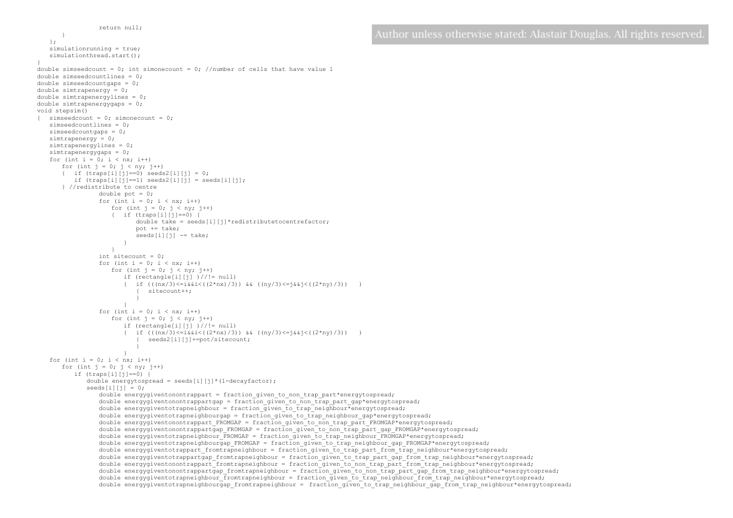```
return null;
       }
   };
   simulationrunning = true;
   simulationthread.start();
}
double simseedcount = 0; int simonecount = 0; //number of cells that have value 1
double simseedcountlines = 0;
double simseedcountgaps = 0;
double simtrapenergy = 0;
double simtrapenergylines = 0;
double simtrapenergygaps = 0;
void stepsim()
{ simseedcount = 0; simonecount = 0;
   simseedcountlines = 0;
   simseedcountgaps = 0:
   simtrapenergy = 0;
   simtrapenergylines = 0;
   simtrapenergygaps = 0;
   for (int i = 0; i < nx; i++)for (int j = 0; j < ny; j++){ if (traps[i][j] == 0) seeds 2[i][j] = 0;
          if (traps[i][i]=-1) seeds2[i][i] = seeds[i][i];
       } //redistribute to centre
                 double pot = 0;
                 for (int i = 0; i < nx; i++)for (int \mathbf{i} = 0; \mathbf{j} < \mathbf{n}v; \mathbf{i}++)
                    { if (traps[i][j]==0) {
                           double take = seeds[i][j]*redistributetocentrefactor;
                           pot += take;
                           seeds[i][j] -= take;
                        }
                     }
                 int sitecount = 0;
                 for (int i = 0; i < nx; i++)for (int j = 0; j < ny; j++)if (rectangle[i][j] )//!= null) 
                        { if ((nx/3) \leq i \&\&i \leq ((2 * nx) / 3)) & ((ny/3) \leq j \&\&j \leq ((2 * ny) / 3)) )
                            { sitecount++;
                            }
                        }
                 for (int i = 0; i < nx; i++)for (int j = 0; j < ny; j++)if (rectangle[i][j]) )//!= null{ if ((nx/3) \leq i \&\&i \leq ((2 * nx)/3)) & ((ny/3) \leq j \&\&j \leq ((2 * ny)/3)){ seeds2[i][j]+=pot/sitecount;
                            }
                        }
   for (int i = 0; i < nx; i++)for (int j = 0; j < ny; j++)if (traps[i][j]==0) {
              double energytospread = seeds[i][j]*(1-decayfactor);
             seeds[i][j] = 0;double energygiventonontrappart = fraction_given_to_non_trap_part*energytospread;
                 double energygiventonontrappartgap = fraction_given_to_non_trap_part_gap*energytospread;
                 double energygiventotrapneighbour = fraction_given_to_trap_neighbour*energytospread;
                 double energygiventotrapneighbourgap = fraction given to trap neighbour gap*energytospread;
                 double energygiventonontrappart FROMGAP = fraction given to non trap part FROMGAP*energytospread;
                 double energygiventonontrappartgap_FROMGAP = fraction given to non trap_part_gap_FROMGAP*energytospread;
                 double energygiventotrapneighbour_FROMGAP = fraction given to trap_neighbour_FROMGAP*energytospread;
                 double energygiventotrapneighbourgap_FROMGAP = fraction given to trap_neighbour_gap_FROMGAP*energytospread;
                 double energygiventotrappart fromtrapneighbour = fraction given to trap part from trap neighbour*energytospread;
                 double energygiventotrappartgap_fromtrapneighbour = fraction given to trap part gap_from_trap_neighbour*energytospread;
                 double energygiventonontrappart fromtrapneighbour = fraction given to non trap part from trap neighbour*energytospread;
                 double energygiventonontrappartgap fromtrapneighbour = fraction given to non trap part gap from trap neighbour*energytospread;
                 double energygiventotrapneighbour fromtrapneighbour = fraction given to trap neighbour from trap neighbour*energytospread;
                 double energygiventotrapneighbourgap_fromtrapneighbour = fraction given to trap_neighbour gap_from_trap_neighbour*energytospread;
```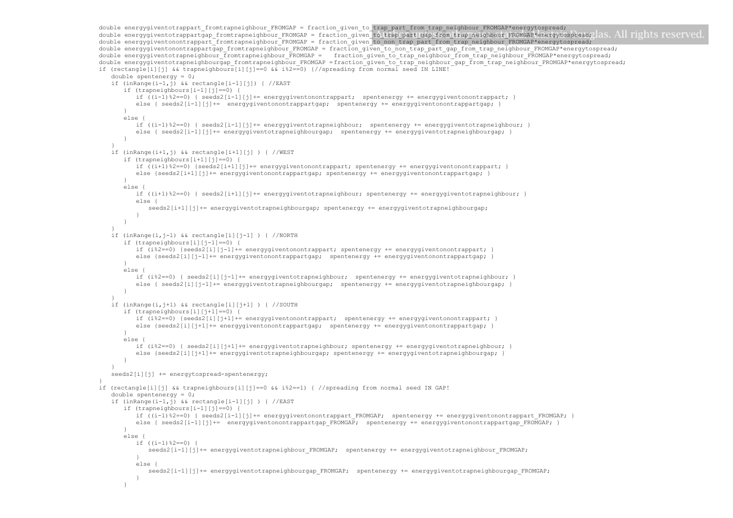```
double energygiventotrappart_fromtrapneighbour_FROMGAP = fraction_given_to_trap_part_from_trap_neighbour_FROMGAP*energytospread;
double energygiventotrappartgap_fromtrapneighbour_FROMGAP = fraction_given_to_trap_part_gap_from_trap_neighbour_FROMGAP*energytospread; 1S. All rights reserved
double energygiventonontrappart fromtrapneighbour_FROMGAP = fraction_given_to_non_trap_part_from_trap_neighbour_FROMGAP*energytospread;
double energygiventonontrappartgap fromtrapneighbour FROMGAP = fraction_given_to_non_trap_part_gap_from_trap_neighbour_FROMGAP*energytospread;
double energygiventotrapneighbour_fromtrapneighbour_FROMGAP = fraction_given_to_trap_neighbour_from_trap_neighbour_FROMGAP*energytospread;
double energygiventotrapneighbourgap_fromtrapneighbour_FROMGAP =fraction_given_to_trap_neighbour_gap_from_trap_neighbour_FROMGAP*energytospread;
if (rectangle[i][j] && trapneighbours[i][j]==0 && i%2==0) {//spreading from normal seed IN LINE!
   double spentenergy = 0;
   if (inRange(i-1,j) && rectangle[i-1][j]) { //EASTif (trapneighbours[i-1][j]==0) {
          if ((i-1)%2==0) { seeds2[i-1][j]+= energygiventonontrappart; spentenergy += energygiventonontrappart; }
          else { seeds2[i-1][j]+= energygiventonontrappartgap; spentenergy += energygiventonontrappartgap;
       }
      else {
          if ((i-1)%2==0) { seeds2[i-1][j]+= energygiventotrapneighbour; spentenergy += energygiventotrapneighbour; }
          else { seeds2[i-1][j]+= energygiventotrapneighbourgap; spentenergy += energygiventotrapneighbourgap;
      }
    }
   if (inRange(i+1,j) && rectangle[i+1][j] ) { //WEST
      if (trapneighbours[i+1][j]==0) {
          if ((i+1)%2==0) {seeds2[i+1][j]+= energygiventonontrappart; spentenergy += energygiventonontrappart; }
          else {seeds2[i+1][j]+= energygiventonontrappartgap; spentenergy += energygiventonontrappartgap; }
       }
      else {
          if ((i+1)%2==0) { seeds2[i+1][j]+= energygiventotrapneighbour; spentenergy += energygiventotrapneighbour; }
          else {
             seeds2[i+1][j]+= energyqiventotrapneighbourgap; spentenergy += energyqiventotrapneighbourgap;
          }
      }
    }
   if (inRange(i,j-1) && rectangle[i][j-1] ) { //NORTH 
      if (trapneighbours[i][j-1]==0) {
          if (i%2==0) {seeds2[i][j-1]+= energygiventonontrappart; spentenergy += energygiventonontrappart; }
          else {seeds2[i][j-1]+= energygiventonontrappartgap; spentenergy += energygiventonontrappartgap; }
      }
      else \overline{ }if (i%2==0) { seeds2[i][j-1]+= energygiventotrapneighbour; spentenergy += energygiventotrapneighbour; }
          else { seeds2[i][j-1]+= energygiventotrapneighbourgap; spentenergy += energygiventotrapneighbourgap; }
      }
    }
   if (inRange(i,j+1) && rectangle[i][j+1] ) { //SOUTH
      if (trapneighbours[i][j+1]==0) {
          if (i%2==0) {seeds2[i][j+1]+= energygiventonontrappart; spentenergy += energygiventonontrappart; }
          else {seeds2[i][j+1]+= energygiventonontrappartgap; spentenergy += energygiventonontrappartgap; }
      }
      else {
          if (i%2==0) { seeds2[i][j+1]+= energygiventotrapneighbour; spentenergy += energygiventotrapneighbour; }
          else {seeds2[i][j+1]+= energygiventotrapneighbourgap; spentenergy += energygiventotrapneighbourgap;
      }
    }
   seeds2[i][j] += energytospread-spentenergy;
}
if (rectangle[i][j] && trapneighbours[i][j]==0 && i%2==1) { //spreading from normal seed IN GAP!
   double spentenergy = 0;
   if (inRange(i-1,j) && rectangle[i-1][j] ) { //EAST 
      if (trapneighbours[i-1][j]==0) {
          if ((i-1)%2==0) { seeds2[i-1][j]+= energygiventonontrappart FROMGAP; spentenergy += energygiventonontrappart FROMGAP;
          else { seeds2[i-1][j]+= energygiventonontrappartgap FROMGAP; spentenergy += energygiventonontrappartgap FROMGAP; }
       }
      else {
          if ((i-1)%2==0) {
             seeds2[i-1][j]+= energygiventotrapneighbour FROMGAP; spentenergy += energygiventotrapneighbour FROMGAP;
          }
          else {
             seeds2[i-1][j]+= energygiventotrapneighbourgap_FROMGAP; spentenergy += energygiventotrapneighbourgap_FROMGAP; 
          }
       }
```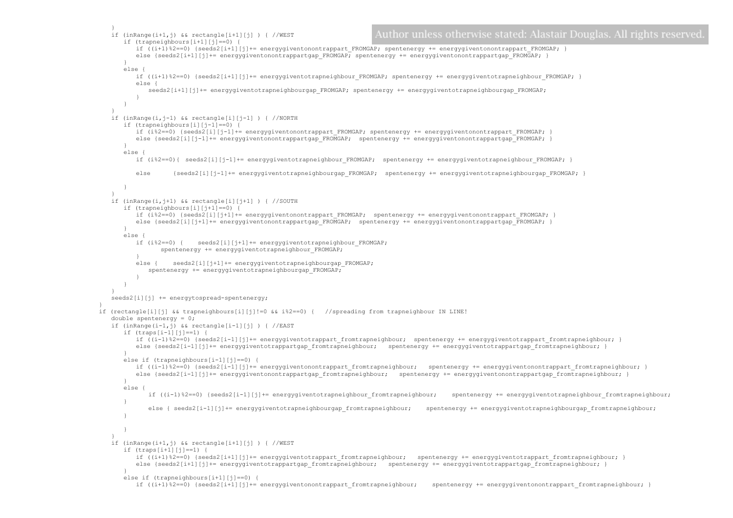```
}
                                                                            Author unless otherwise stated: Alastair Douglas. All rights reserved
   if (inRange(i+1,j) && rectangle[i+1][j] ) { //WEST
      if (trapneighbours[i+1][j]==0) {
         if ((i+1)%2==0) {seeds2[i+1][j]+= energygiventonontrappart FROMGAP; spentenergy += energygiventonontrappart FROMGAP; }
         else {seeds2[i+1][j]+= energygiventonontrappartgap_FROMGAP; spentenergy += energygiventonontrappartgap_FROMGAP; }
       }
      else {
         if ((i+1)%2==0) {seeds2[i+1][j]+= energygiventotrapneighbour FROMGAP; spentenergy += energygiventotrapneighbour FROMGAP;
         else {
             seeds2[i+1][j]+= energygiventotrapneighbourgap_FROMGAP; spentenergy += energygiventotrapneighbourgap_FROMGAP;
          }
      }
   }
   if (inRange(i,j-1) && rectangle[i][j-1] ) { //NORMif (trapneighbours[i][j-1]==0) {
         if (i%2==0) {seeds2[i][j-1]+= energygiventonontrappart FROMGAP; spentenergy += energygiventonontrappart FROMGAP; }
         else {seeds2[i][j-1]+= energygiventonontrappartgap FROMGAP; spentenergy += energygiventonontrappartgap_FROMGAP; }
       }
      else {
         if (i%2==0){ seeds2[i][j-1]+= energygiventotrapneighbour FROMGAP; spentenergy += energygiventotrapneighbour FROMGAP;
         else {seeds2[i][j-1]+= energygiventotrapneighbourgap FROMGAP; spentenergy += energygiventotrapneighbourgap FROMGAP; }
      }
   }
   if (inRange(i,j+1) && rectangle[i][j+1] ) { // SOUTH
      if (trapneighbours[i][j+1]==0) {
         if (i%2==0) {seeds2[i][j+1]+= energygiventonontrappart FROMGAP; spentenergy += energygiventonontrappart FROMGAP;
         else {seeds2[i][j+1]+= energygiventonontrappartgap_FROMGAP; spentenergy += energygiventonontrappartgap_FROMGAP; }
       }
      else {
         if (i%2==0) { seeds2[i][j+1]+= energygiventotrapneighbour_FROMGAP; 
                spentenergy += energygiventotrapneighbour FROMGAP;
          }
         else { seeds2[i][j+1]+= energygiventotrapneighbourgap_FROMGAP;
             spentenergy += energygiventotrapneighbourgap FROMGAP;
          }
      }
   }
   seeds2[i][j] += energytospread-spentenergy;
}
if (rectangle[i][j] && trapneighbours[i][j]!=0 && i%2==0) { //spreading from trapneighbour IN LINE!
   double spentenergy = 0;
   if (inRange(i-1,j) && rectangle[i-1][j] ) { //EAST
      if (traps[i-1][j]==1) {
         if ((i-1)%2==0) {seeds2[i-1][j]+= energygiventotrappart fromtrapneighbour; spentenergy += energygiventotrappart fromtrapneighbour; }
         else {seeds2[i-1][j]+= energygiventotrappartgap fromtrapneighbour; spentenergy += energygiventotrappartgap fromtrapneighbour; }
       }
      else if (trapneighbours[i-1][j]==0) {
         if ((i-1)%2==0) {seeds2[i-1][j]+= energygiventonontrappart_fromtrapneighbour; spentenergy += energygiventonontrappart_fromtrapneighbour; }
         else {seeds2[i-1][j]+= energygiventonontrappartgap fromtrapneighbour; spentenergy += energygiventonontrappartgap fromtrapneighbour; }
       }
      else {
             if ((i-1)%2==0) {seeds2[i-1][j]+= energygiventotrapneighbour fromtrapneighbour; spentenergy += energygiventotrapneighbour fromtrapneighbour;
      }
             else { seeds2[i-1][j]+= energygiventotrapneighbourgap fromtrapneighbour; spentenergy += energygiventotrapneighbourgap fromtrapneighbour;
      }
      }
   }
   if (inRange(i+1,j) && rectangle[i+1][j] ) { //WEST
      if (traps[i+1][j]==1) {
         if ((i+1)%2==0) {seeds2[i+1][j]+= energygiventotrappart fromtrapneighbour; spentenergy += energygiventotrappart fromtrapneighbour; }
         else {seeds2[i+1][j]+= energygiventotrappartgap fromtrapneighbour; spentenergy += energygiventotrappartgap fromtrapneighbour; }
       }
      else if (trapneighbours[i+1][j]==0) {
         if ((i+1)%2==0) {seeds2[i+1][j]+= energygiventonontrappart_fromtrapneighbour; spentenergy += energygiventonontrappart_fromtrapneighbour; }
```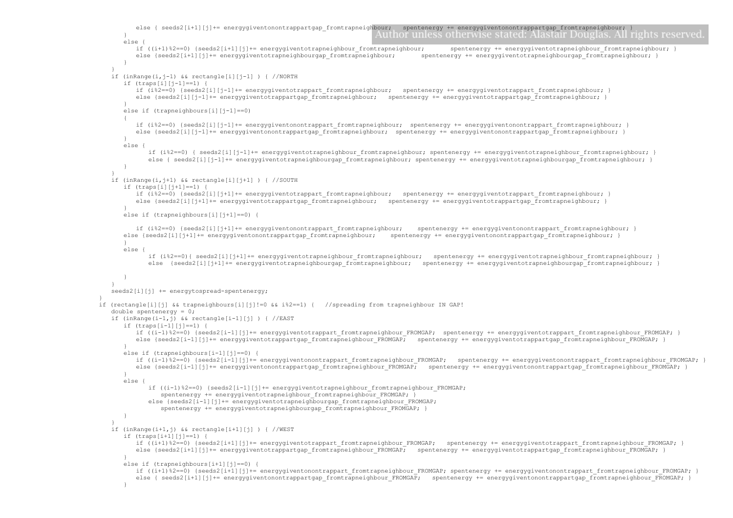```
else { seeds2[i+1][j]+= energygiventonontrappartgap_fromtrapneighbour; spentenergy += energygiventonontrappartgap_fromtrapneighbour; }<br>[[] energy to make a spentence of the contrast of the contrast of the contrast of the c
       }
      else {
         if ((i+1)%2==0) {seeds2[i+1][j]+= energygiventotrapneighbour fromtrapneighbour; spentenergy += energygiventotrapneighbour fromtrapneighbour; }
         else {seeds2[i+1][j]+= energygiventotrapneighbourgap fromtrapneighbour; spentenergy += energygiventotrapneighbourgap fromtrapneighbour; }
      }
   }
   if (inRange(i,j-1) && rectangle[i][j-1] ) { //NORTH 
      if (traps[i][j-1]==1) {
         if (i%2==0) {seeds2[i][j-1]+= energygiventotrappart fromtrapneighbour; spentenergy += energygiventotrappart fromtrapneighbour;
         else {seeds2[i][j-1]+= energygiventotrappartgap fromtrapneighbour; spentenergy += energygiventotrappartgap fromtrapneighbour; }
       }
      else if (trapneighbours[i][j-1]==0)
      {
         if (i%2==0) {seeds2[i][j-1]+= energygiventonontrappart fromtrapneighbour; spentenergy += energygiventonontrappart fromtrapneighbour; }
         else {seeds2[i][j-1]+= energygiventonontrappartgap fromtrapneighbour; spentenergy += energygiventonontrappartgap fromtrapneighbour; }
       }
      else \overline{ }if (i%2==0) { seeds2[i][j-1]+= energygiventotrapneighbour_fromtrapneighbour; spentenergy += energygiventotrapneighbour_fromtrapneighbour; }
             else { seeds2[i][j-1]+= energygiventotrapneighbourgap fromtrapneighbour; spentenergy += energygiventotrapneighbourgap fromtrapneighbour; }
      }
   }
   if (inRange(i,j+1) && rectangle[i][j+1] ) { //SOUTH
      if (traps[i][j+1]==1) {
         if (i%2==0) {seeds2[i][j+1]+= energygiventotrappart fromtrapneighbour; spentenergy += energygiventotrappart fromtrapneighbour; }
         else {seeds2[i][j+1]+= energygiventotrappartgap fromtrapneighbour; spentenergy += energygiventotrappartgap fromtrapneighbour; }
       }
      else if (trapneighbours[i][j+1]==0) {
         if (i%2==0) {seeds2[i][j+1]+= energygiventonontrappart_fromtrapneighbour; spentenergy += energygiventonontrappart_fromtrapneighbour; }
      else {seeds2[i][j+1]+= energygiventonontrappartgap_fromtrapneighbour; spentenergy += energygiventonontrappartgap_fromtrapneighbour; }
       }
      else {
             if (i%2==0){ seeds2[i][j+1]+= energygiventotrapneighbour_fromtrapneighbour; spentenergy += energygiventotrapneighbour_fromtrapneighbour; }
             else {seeds2[i][j+1]+= energygiventotrapneighbourgap fromtrapneighbour; spentenergy += energygiventotrapneighbourgap fromtrapneighbour; }
       }
   }
   seeds2[i][j] += energytospread-spentenergy;
if (rectangle[i][j] && trapneighbours[i][j]!=0 && i%2==1) { //spreading from trapneighbour IN GAP!
   double spentenergy = 0;
   if (inRange(i-1,j) && rectangle[i-1][j] ) { //EAST 
      if (traps[i-1][j]==1) {
         if ((i-1)%2==0) {seeds2[i-1][j]+= energygiventotrappart fromtrapneighbour FROMGAP; spentenergy += energygiventotrappart fromtrapneighbour FROMGAP; }
         else {seeds2[i-1][j]+= energygiventotrappartgap fromtrapneighbour FROMGAP; spentenergy += energygiventotrappartgap fromtrapneighbour FROMGAP; }
       }
      else if (trapneighbours[i-1][j]==0) {
         if ((i-1)%2==0) {seeds2[i-1][j]+= energygiventonontrappart fromtrapneighbour FROMGAP; spentenergy += energygiventonontrappart fromtrapneighbour FROMGAP;
          else {seeds2[i-1][j]+= energygiventonontrappartgap_fromtrapneighbour_FROMGAP; spentenergy += energygiventonontrappartgap_fromtrapneighbour_FROMGAP;
       }
      else {
             if ((i-1)%2==0) {seeds2[i-1][j]+= energygiventotrapneighbour fromtrapneighbour FROMGAP;
                 spentenergy += energygiventotrapneighbour fromtrapneighbour FROMGAP; }
             else {seeds2[i-1][j]+= energygiventotrapneighbourgap_fromtrapneighbour_FROMGAP;
                 spentenergy += energygiventotrapneighbourgap_fromtrapneighbour_FROMGAP; }
      }
   }
   if (inRange(i+1, j) && rectangle[i+1][j] ) { //WESTif (traps[i+1][j]==1) {
         if ((i+1)%2==0) {seeds2[i+1][j]+= energygiventotrappart fromtrapneighbour FROMGAP; spentenergy += energygiventotrappart fromtrapneighbour FROMGAP; }
         else {seeds2[i+1][j]+= energygiventotrappartgap fromtrapneighbour FROMGAP; spentenergy += energygiventotrappartgap fromtrapneighbour FROMGAP; }
       }
      else if (trapneighbours[i+1][j]==0) {
         if ((i+1)%2==0) {seeds2[i+1][j]+= energygiventonontrappart_fromtrapneighbour_FROMGAP; spentenergy += energygiventonontrappart_fromtrapneighbour_FROMGAP; }
          else { seeds2[i+1][j]+= energygiventonontrappartgap fromtrapneighbour FROMGAP; spentenergy += energygiventonontrappartgap fromtrapneighbour FROMGAP; }
      }
```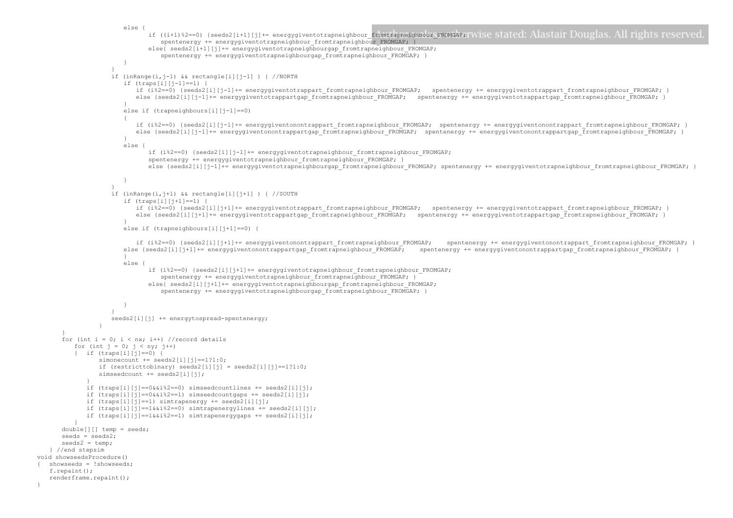```
else {
                              if ((i+1)%2==0) {seeds2[i+1][j]+= energygiventotrapneighbour_fromtrapneighbour_FROMGAP; Wise stated: Alastair Douglas. All rights reserved
                                 spentenergy += energygiventotrapneighbour fromtrapneighbour FROMGAP; }
                             else{ seeds2[i+1][j]+= energygiventotrapneighbourgap_fromtrapneighbour_FROMGAP;
                                 spentenergy += energygiventotrapneighbourgap_fromtrapneighbour_FROMGAP; }
                       }
                    }
                   if (inRange(i,j-1) && rectangle[i][j-1] ) { //NORTH 
                       if (traps[i][j-1]==1) {
                          if (i%2==0) {seeds2[i][j-1]+= energygiventotrappart fromtrapneighbour FROMGAP; spentenergy += energygiventotrappart fromtrapneighbour FROMGAP; }
                          else {seeds2[i][j-1]+= energygiventotrappartgap fromtrapneighbour FROMGAP; spentenergy += energygiventotrappartgap_fromtrapneighbour_FROMGAP; }
                       }
                       else if (trapneighbours[i][j-1]==0)
                       {
                          if (i%2==0) {seeds2[i][j-1]+= energygiventonontrappart fromtrapneighbour FROMGAP; spentenergy += energygiventonontrappart fromtrapneighbour FROMGAP;
                          else {seeds2[i][j-1]+= energygiventonontrappartgap_fromtrapneighbour_FROMGAP; spentenergy += energygiventonontrappartgap_fromtrapneighbour_FROMGAP; }
                       }
                       else {
                             if (i%2 == 0) {seeds2[i][j-1] += energygiventotrapneighbour fromtrapneighbour FROMGAP;
                              spentenergy += energygiventotrapneighbour_fromtrapneighbour_FROMGAP; }
                             else {seeds2[i][j-1]+= energygiventotrapneighbourgap fromtrapneighbour FROMGAP; spentenergy += energygiventotrapneighbour fromtrapneighbour FROMGAP;
                       }
                    }
                   if (inRange(i,j+1) && rectangle[i][j+1] ) { //SOUTH
                       if (traps[i][j+1]==1) {
                          if (i%2==0) {seeds2[i][j+1]+= energygiventotrappart fromtrapneighbour FROMGAP; spentenergy += energygiventotrappart fromtrapneighbour FROMGAP;
                          else {seeds2[i][j+1]+= energygiventotrappartgap fromtrapneighbour FROMGAP; spentenergy += energygiventotrappartgap_fromtrapneighbour_FROMGAP; }
                       }
                       else if (trapneighbours[i][j+1]==0) {
                          if (i%2==0) {seeds2[i][j+1]+= energygiventonontrappart fromtrapneighbour FROMGAP; spentenergy += energygiventonontrappart fromtrapneighbour FROMGAP; }
                       else {seeds2[i][j+1]+= energygiventonontrappartgap fromtrapneighbour FROMGAP; spentenergy += energygiventonontrappartgap fromtrapneighbour FROMGAP; }
                       }
                       else {
                             if (i%2==0) {seeds2[i][j+1]+= energygiventotrapneighbour_fromtrapneighbour_FROMGAP; 
                                 spentenergy += energygiventotrapneighbour fromtrapneighbour FROMGAP; }
                              else{ seeds2[i][j+1]+= energygiventotrapneighbourgap_fromtrapneighbour_FROMGAP;
                                 spentenergy += energygiventotrapneighbourgap_fromtrapneighbour_FROMGAP; }
                       }
                    }
                    seeds2[i][j] += energytospread-spentenergy;
                 }
       }
      for (int i = 0; i < nx; i++) //record details
         for (int j = 0; j < ny; j++){ if (traps[i][i]=-0) {
                simonecount += seeds2[i][j]==1?1:0;
                if (restricttobinary) seeds2[i][j] = seeds2[i][j] == 1?1:0;simseedcount += seeds2[i][j];
             }
             if (traps[i][j]=-0&4&3=-0) simseedcountlines += seeds2[i][j];
             if (traps[i][j]=-0&i*2=-1) simseedcountgaps += seeds2[i][j];
             if (traps[i][j]==1) simtrapenergy += seeds2[i][j];
             if (traps[i][j]=-1&i2=-0) simtrapenergylines += seeds2[i][j];
             if (traps[i][j]==1&&i%2==1) simtrapenergygaps += seeds2[i][j];
          }
      double[][] temp = seeds;
      seeds = seeds2; 
      seeds2 = temp;} //end stepsim
void showseedsProcedure()
   showseeds = !showseeds;
   f.repaint();
   renderframe.repaint();
```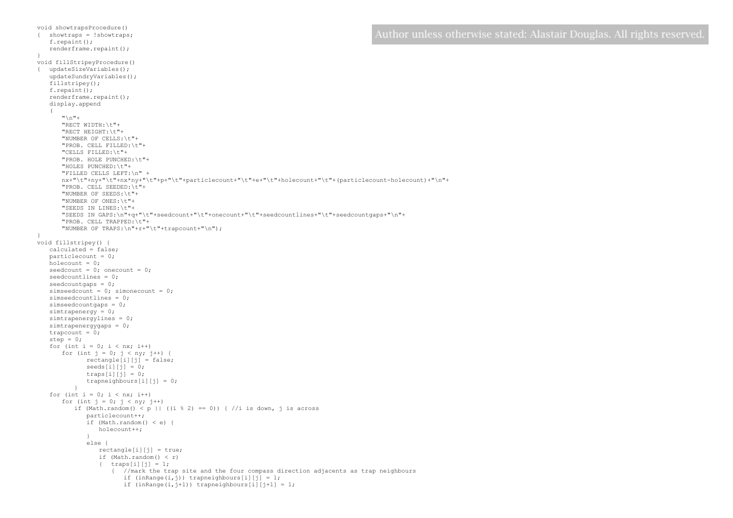```
{ showtraps = !showtraps;
   f.repaint();
   renderframe.repaint();
void fillStripeyProcedure()
{ updateSizeVariables();
   updateSundryVariables();
   fillstripey();
   f.repaint();
   renderframe.repaint();
   display.append
   \sqrt{ }''\n\vee n" +"RECT WIDTH:\t"+
      "RECT HEIGHT:\t"+
      "NUMBER OF CELLS:\t"+
      "PROB. CELL FILLED:\t"+
      "CELLS FILLED:\t"+
      "PROB. HOLE PUNCHED:\t"+
      "HOLES PUNCHED:\t"+
      "FILLED CELLS LEFT:\n" +
      nx+"\t"+ny+"\t"+nx*ny+"\t"+p+"\t"+particlecount+"\t"+e+"\t"+holecount+"\t"+(particlecount-holecount)+"\n"+
      "PROB. CELL SEEDED:\t"+
      "NUMBER OF SEEDS:\t"+
      "NUMBER OF ONES:\t"+
      "SEEDS IN LINES:\t"+
      "SEEDS IN GAPS:\n"+q+"\t"+seedcount+"\t"+onecount+"\t"+seedcountlines+"\t"+seedcountgaps+"\n"+
      "PROB. CELL TRAPPED:\t"+
      "NUMBER OF TRAPS:\n"+r+"\t"+trapcount+"\n");
void fillstripey() {
   calculated = false;
   particlecount = 0;
   holecount = 0:
   seedcount = 0; onecount = 0;
   seedcountlines = 0;
   seedcountqaps = 0;simseedcount = 0; simonecount = 0;
   simseedcountlines = 0;
   simseedcountgaps = 0;
   simtrapenergy = 0;
   simtrapenergylines = 0;
   simtrapenergygaps = 0;
   trapcount = 0;
   step = 0;for (int i = 0; i < nx; i++)
      for (int j = 0; j < ny; j++) {
             rectangle[i][j] = false;
             seeds[i][j] = 0;traps[i][j] = 0;trapneighbours[i][j] = 0;
          }
   for (int i = 0; i < nx; i++)for (int j = 0; j < ny; j++)if (Math.random() < p || ((i % 2) == 0)) { //i is down, j is across
             particlecount++;
             if (Math.random() < e) {
                holecount++;
              }
else {
                rectangle[i][j] = true;if (Math.random() < r) 
                { traps[i][j] = 1;{ //mark the trap site and the four compass direction adjacents as trap neighbours
                       if (inRange(i, j)) trapneighbours[i][j] = 1;
```
if  $(inRange(i, j+1))$  trapneighbours[i][j+1] = 1;

void showtrapsProcedure()

}

```
Author unless otherwise stated: Alastair Douglas. All rights reserved.
```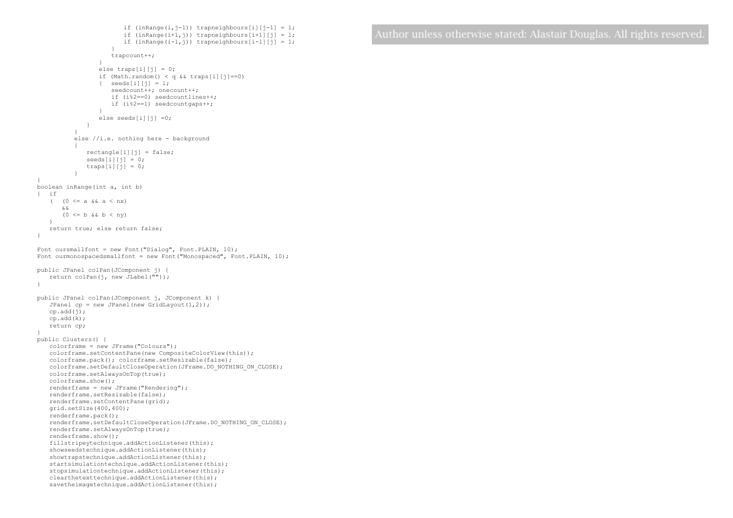```
if (inRange(i, j-1)) trapneighbours[i][j-1] = 1;
                        if (inRange(i+1,i)) trapneighbours[i+1][j] = 1;
                        if (inRange(i-1,i)) trapneighbours[i-1][j] = 1;
                     }
                    trapcount++;
                  }
                 else traps[i][j] = 0;if (Math.random() < q && traps[i][j]==0) 
                 \{ seeds[i][j] = 1;
                    seedcount++; onecount++;
                    if (i%2==0) seedcountlines++;
                    if (i%2==1) seedcountgaps++;
                  }
                 else seeds[i][j] =0;
             }
           }
          else //i.e. nothing here - background
          {
             rectangle[i][j] = false; 
             seeds[i][j] = 0;traps[i][j] = 0;\overline{ }}
boolean inRange(int a, int b)
{ if 
   ( (0 \le a \& a \le a \le nx)\mathcal{L} \times(0 \le b \ \&\&\ b \le ny))
   return true; else return false;
}
Font oursmallfont = new Font("Dialog", Font. PLAIN, 10);
Font ourmonospacedsmallfont = new Font("Monospaced", Font. PLAIN, 10);
public JPanel colPan(JComponent j) {
   return colPan(j, new JLabel(""));
}
public JPanel colPan(JComponent j, JComponent k) {
   JPanel cp = new JPanel(new GridLayout(1,2));cp.add(j);
   cp.add(k);
   return cp;
}
public Clusters() {
   colorframe = new JFrame("Colours");
   colorframe.setContentPane(new CompositeColorView(this));
   colorframe.pack(); colorframe.setResizable(false); 
   colorframe.setDefaultCloseOperation(JFrame.DO_NOTHING_ON_CLOSE);
   colorframe.setAlwaysOnTop(true);
   colorframe.show();
   renderframe = new JFrame("Rendering");
   renderframe.setResizable(false);
   renderframe.setContentPane(grid);
   grid.setSize(400,400); 
   renderframe.pack();
   renderframe.setDefaultCloseOperation(JFrame.DO_NOTHING_ON_CLOSE);
   renderframe.setAlwaysOnTop(true);
   renderframe.show();
   fillstripeytechnique.addActionListener(this);
   showseedstechnique.addActionListener(this);
   showtrapstechnique.addActionListener(this);
   startsimulationtechnique.addActionListener(this);
   stopsimulationtechnique.addActionListener(this);
   clearthetexttechnique.addActionListener(this);
   savetheimagetechnique.addActionListener(this);
```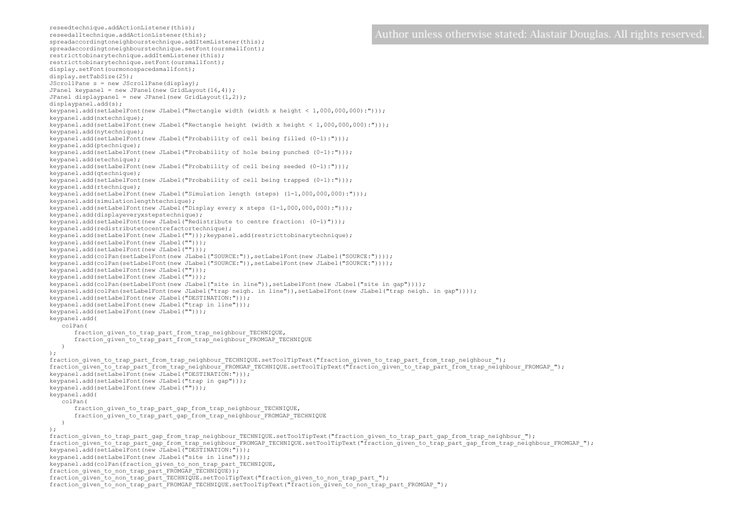reseedalltechnique.addActionListener(this); spreadaccordingtoneighbourstechnique.addItemListener(this); spreadaccordingtoneighbourstechnique.setFont(oursmallfont); restricttobinarytechnique.addItemListener(this); restricttobinarytechnique.setFont(oursmallfont); display.setFont(ourmonospacedsmallfont); display.setTabSize(25); JScrollPane s = new JScrollPane(display); JPanel keypanel = new JPanel(new GridLayout(16,4)); JPanel displaypanel = new JPanel(new GridLayout(1,2)); displaypanel.add(s); keypanel.add(setLabelFont(new JLabel("Rectangle width (width x height < 1,000,000,000):"))); keypanel.add(nxtechnique); keypanel.add(setLabelFont(new JLabel("Rectangle height (width x height <  $1,000,000,000)$ :"))); keypanel.add(nytechnique); keypanel.add(setLabelFont(new JLabel("Probability of cell being filled (0-1):"))); keypanel.add(ptechnique); keypanel.add(setLabelFont(new JLabel("Probability of hole being punched (0-1):"))); keypanel.add(etechnique); keypanel.add(setLabelFont(new JLabel("Probability of cell being seeded (0-1):"))); keypanel.add(qtechnique); keypanel.add(setLabelFont(new JLabel("Probability of cell being trapped  $(0-1):")$ ); keypanel.add(rtechnique); keypanel.add(setLabelFont(new JLabel("Simulation length (steps)  $(1-1,000,000,000)$ :"))); keypanel.add(simulationlengthtechnique); keypanel.add(setLabelFont(new JLabel("Display every x steps (1-1,000,000,000):"))); keypanel.add(displayeveryxstepstechnique); keypanel.add(setLabelFont(new JLabel("Redistribute to centre fraction: (0-1)"))); keypanel.add(redistributetocentrefactortechnique); keypanel.add(setLabelFont(new JLabel("")));keypanel.add(restricttobinarytechnique); keypanel.add(setLabelFont(new JLabel(""))); keypanel.add(setLabelFont(new JLabel(""))); keypanel.add(colPan(setLabelFont(new JLabel("SOURCE:")),setLabelFont(new JLabel("SOURCE:")))); keypanel.add(colPan(setLabelFont(new JLabel("SOURCE:")),setLabelFont(new JLabel("SOURCE:")))); keypanel.add(setLabelFont(new JLabel(""))); keypanel.add(setLabelFont(new JLabel(""))); keypanel.add(colPan(setLabelFont(new JLabel("site in line")),setLabelFont(new JLabel("site in gap")))); keypanel.add(colPan(setLabelFont(new JLabel("trap neigh. in line")),setLabelFont(new JLabel("trap neigh. in gap")))); keypanel.add(setLabelFont(new JLabel("DESTINATION:"))); keypanel.add(setLabelFont(new JLabel("trap in line"))); keypanel.add(setLabelFont(new JLabel(""))); keypanel.add( colPan( fraction given to trap part from trap neighbour TECHNIQUE, fraction\_given\_to\_trap\_part\_from\_trap\_neighbour\_FROMGAP\_TECHNIQUE ) ); fraction given to trap part from trap neighbour TECHNIQUE.setToolTipText("fraction given to trap part from trap neighbour "); fraction given to trap part from trap neighbour FROMGAP TECHNIQUE.setToolTipText("fraction given to trap part from trap neighbour FROMGAP "); keypanel.add(setLabelFont(new JLabel("DESTINATION:"))); keypanel.add(setLabelFont(new JLabel("trap in gap"))); keypanel.add(setLabelFont(new JLabel(""))); keypanel.add( colPan( fraction given to trap part gap from trap neighbour TECHNIQUE, fraction given to trap part gap from trap\_neighbour\_FROMGAP\_TECHNIQUE ) ); fraction given to trap part gap from trap neighbour TECHNIQUE.setToolTipText("fraction given to trap part gap from trap neighbour "); fraction given to trap part gap\_from\_trap\_neighbour\_FROMGAP\_TECHNIQUE.setToolTipText("fraction\_given\_to\_trap\_part\_gap\_from\_trap\_neighbour\_FROMGAP\_"); keypanel.add(setLabelFont(new JLabel("DESTINATION:"))); keypanel.add(setLabelFont(new JLabel("site in line"))); keypanel.add(colPan(fraction qiven to non trap part TECHNIQUE, fraction given to non trap part FROMGAP TECHNIQUE)); fraction given to non trap part TECHNIQUE.setToolTipText("fraction given to non trap part "); fraction given to non trap part FROMGAP TECHNIQUE.setToolTipText("fraction given to non trap part FROMGAP ");

reseedtechnique.addActionListener(this);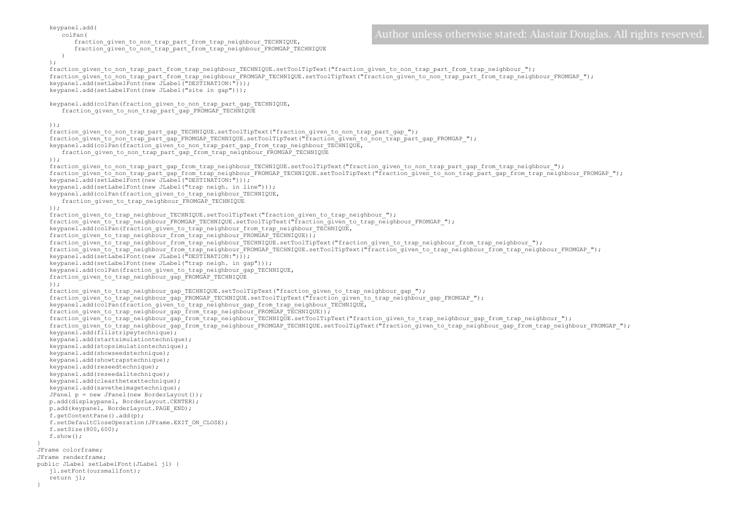```
keypanel.add(
                                                                                             Author unless otherwise stated: Alastair Douglas. All rights reserved
      colPan(
          fraction_given_to_non_trap_part_from_trap_neighbour_TECHNIQUE,
          fraction given to non trap part from trap_neighbour_FROMGAP_TECHNIQUE
      )
   );
   fraction given to non trap part from trap neighbour TECHNIQUE.setToolTipText("fraction given to non trap part from trap neighbour ");
   fraction given to non trap part from trap neighbour FROMGAP TECHNIQUE.setToolTipText("fraction given to non trap part from trap neighbour FROMGAP ");
   keypanel.add(setLabelFont(new JLabel("DESTINATION:")));
   keypanel.add(setLabelFont(new JLabel("site in gap")));
   keypanel.add(colPan(fraction qiven to non trap part qap TECHNIQUE,
      fraction given to non trap part gap FROMGAP TECHNIQUE
   ));
   fraction given to non trap part gap TECHNIQUE.setToolTipText("fraction given to non trap part gap ");
   fraction_given_to_non_trap_part_gap_FROMGAP_TECHNIQUE.setToolTipText("fraction_given_to_non_trap_part_gap_FROMGAP_");
   keypanel.add(colPan(fraction given to non trap part gap from trap neighbour TECHNIQUE,
      fraction qiven to non trap part qap_from_trap_neighbour_FROMGAP_TECHNIQUE
   ));
   fraction given to non trap part gap from trap neighbour TECHNIQUE.setToolTipText("fraction given to non trap part gap from trap neighbour ");
   fraction_given_to_non_trap_part_gap_from_trap_neighbour_FROMGAP_TECHNIQUE.setToolTipText("fraction_given_to_non_trap_part_gap_from_trap_neighbour_FROMGAP_");
   keypanel.add(setLabelFont(new JLabel("DESTINATION:")));
   keypanel.add(setLabelFont(new JLabel("trap neigh. in line")));
   keypanel.add(colPan(fraction given to trap_neighbour_TECHNIQUE,
      fraction given to trap_neighbour_FROMGAP_TECHNIQUE
   ));
   fraction given to trap neighbour TECHNIQUE.setToolTipText("fraction given to trap neighbour ");
   fraction given to trap neighbour FROMGAP TECHNIQUE.setToolTipText("fraction given to trap neighbour FROMGAP ");
   keypanel.add(colPan(fraction given to trap neighbour from trap neighbour TECHNIQUE,
   fraction qiven to trap neighbour from trap neighbour FROMGAP TECHNIQUE));
   fraction qiven to trap neighbour from trap neighbour TECHNIQUE.setToolTipText("fraction qiven to trap neighbour from trap neighbour");
   fraction_given_to_trap_neighbour_from_trap_neighbour_FROMGAP_TECHNIQUE.setToolTipText("fraction_given_to_trap_neighbour_from_trap_neighbour_FROMGAP_");
   keypanel.add(setLabelFont(new JLabel("DESTINATION:")));
   keypanel.add(setLabelFont(new JLabel("trap neigh. in gap")));
   keypanel.add(colPan(fraction qiven to trap_neighbour_gap_TECHNIQUE,
   fraction given to trap neighbour gap FROMGAP TECHNIQUE
   ));
   fraction qiven to trap neighbour qap TECHNIQUE.setToolTipText("fraction qiven to trap neighbour qap ");
   fraction_given_to_trap_neighbour_gap_FROMGAP_TECHNIQUE.setToolTipText("fraction_given_to_trap_neighbour_gap_FROMGAP_");
   keypanel.add(colPan(fraction qiven to trap neighbour qap from trap neighbour TECHNIQUE,
   fraction qiven to trap neighbour qap from trap neighbour FROMGAP TECHNIQUE));
   fraction_given_to_trap_neighbour_gap_from_trap_neighbour_TECHNIQUE.setToolTipText("fraction_given_to_trap_neighbour_gap_from_trap_neighbour_");
   fraction given to trap neighbour gap from trap neighbour FROMGAP TECHNIQUE.setToolTipText("fraction given to trap neighbour gap from trap neighbour FROMGAP ");
   keypanel.add(fillstripeytechnique);
   keypanel.add(startsimulationtechnique);
   keypanel.add(stopsimulationtechnique);
   keypanel.add(showseedstechnique);
   keypanel.add(showtrapstechnique);
   keypanel.add(reseedtechnique);
   keypanel.add(reseedalltechnique);
   keypanel.add(clearthetexttechnique);
   keypanel.add(savetheimagetechnique);
   JPanel p = new JPanel(new BorderLayout());
   p.add(displaypanel, BorderLayout.CENTER);
   p.add(keypanel, BorderLayout.PAGE_END);
   f.getContentPane().add(p);
   f.setDefaultCloseOperation(JFrame.EXIT_ON_CLOSE);
   f.setSize(800,600); 
   f.show();
JFrame colorframe;
JFrame renderframe;
public JLabel setLabelFont(JLabel jl) {
   jl.setFont(oursmallfont);
   return jl;
```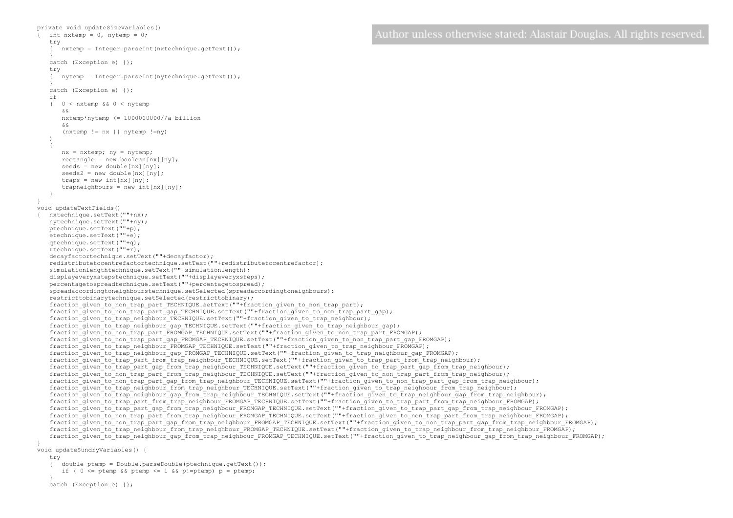```
private void updateSizeVariables()
\{ int nxtemp = 0, nytemp = 0;
   try
      nxtemp = Integer.parseInt(nxtechnique.getText());
   } 
   catch (Exception e) {};
   try
   { nytemp = Integer.parseInt(nytechnique.getText());
   } 
   catch (Exception e) {};
   if 
   ( 0 < nxtemp && 0 < nytemp
      &&
      nxtemp*nytemp <= 1000000000//a billion
      &&
      (nxtemp != nx || nytemp !=ny)
   )
   {
      nx = nxtemp; ny = nytemp;
      rectangle = new boolean[nx][ny];seeds = new double[nx][ny];seeds2 = new double[nx][nv];traps = new int[nx][ny];
      trapneighbours = new int[nx][ny];
   }
}
void updateTextFields()
{ nxtechnique.setText(""+nx);
   nytechnique.setText(""+ny);
   ptechnique.setText(""+p);
   etechnique.setText(""+e);
   qtechnique.setText(""+q);
   rtechnique.setText(""+r);
   decayfactortechnique.setText(""+decayfactor);
   redistributetocentrefactortechnique.setText(""+redistributetocentrefactor);
   simulationlengthtechnique.setText(""+simulationlength);
   displayeveryxstepstechnique.setText(""+displayeveryxsteps);
   percentagetospreadtechnique.setText(""+percentagetospread);
   spreadaccordingtoneighbourstechnique.setSelected(spreadaccordingtoneighbours);
   restricttobinarytechnique.setSelected(restricttobinary);
   fraction qiven to non trap part TECHNIQUE.setText(""+fraction qiven to non trap part);
   fraction given to non trap_part_gap_TECHNIQUE.setText(""+fraction_given_to_non_trap_part_gap);
   fraction given to trap_neighbour_TECHNIQUE.setText(""+fraction_given_to_trap_neighbour);
   fraction_given_to_trap_neighbour_gap_TECHNIQUE.setText(""+fraction_given_to_trap_neighbour_gap);
   fraction_given_to_non_trap_part_FROMGAP_TECHNIQUE.setText(""+fraction_given_to_non_trap_part_FROMGAP);
   fraction given to non trap part gap FROMGAP TECHNIQUE.setText(""+fraction given to non trap part gap FROMGAP);
   fraction_qiven_to_trap_neighbour_FROMGAP_TECHNIQUE.setText(""+fraction_qiven_to_trap_neighbour_FROMGAP);
   fraction_given_to_trap_neighbour_gap_FROMGAP_TECHNIQUE.setText(""+fraction_given_to_trap_neighbour_gap_FROMGAP);
   fraction_given_to_trap_part_from_trap_neighbour_TECHNIQUE.setText(""+fraction_given_to_trap_part_from_trap_neighbour);
   fraction given to trap part gap from trap neighbour TECHNIQUE.setText(""+fraction given to trap part gap from trap neighbour);
   fraction given to non trap part from trap neighbour TECHNIQUE.setText(""+fraction given to non trap part from trap neighbour);
   fraction qiven to non trap part qap from trap neighbour TECHNIQUE.setText(""+fraction qiven to non trap part qap from trap neighbour);
   fraction given to trap_neighbour_from_trap_neighbour_TECHNIQUE.setText(""+fraction_given_to_trap_neighbour_from_trap_neighbour);
   fraction given to trap neighbour gap from trap neighbour TECHNIQUE.setText(""+fraction given to trap neighbour gap from trap neighbour);
   fraction given to trap part from trap neighbour FROMGAP TECHNIQUE.setText(""+fraction given to trap part from trap neighbour FROMGAP);
   fraction given to trap part qap_from_trap_neighbour_FROMGAP_TECHNIQUE.setText(""+fraction_given_to_trap_part_gap_from_trap_neighbour_FROMGAP);
   fraction given to non trap part from trap neighbour FROMGAP_TECHNIQUE.setText(""+fraction given to non trap part from trap neighbour_FROMGAP);
   fraction given to non trap part gap from trap neighbour FROMGAP TECHNIQUE.setText(""+fraction given to non trap part gap from trap neighbour FROMGAP);
   fraction_given_to_trap_neighbour_from_trap_neighbour_FROMGAP_TECHNIQUE.setText(""+fraction_given_to_trap_neighbour_from_trap_neighbour_FROMGAP);
   fraction_given_to_trap_neighbour_gap_from_trap_neighbour_FROMGAP_TECHNIQUE.setText(""+fraction_given_to_trap_neighbour_gap_from_trap_neighbour_FROMGAP);
}
```

```
void updateSundryVariables() {
```

```
try
```
{ double ptemp = Double.parseDouble(ptechnique.getText());

if (  $0 \leq$  ptemp && ptemp  $\leq 1$  && p!=ptemp) p = ptemp;

```
} 
catch (Exception e) {};
```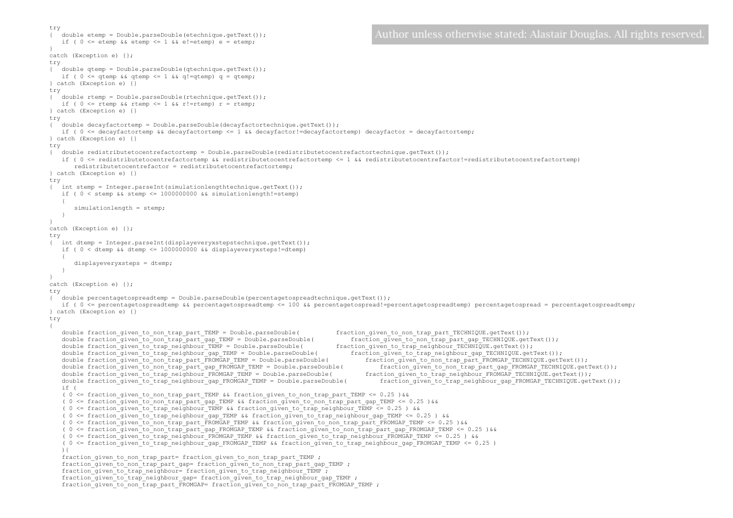```
try
                                                                                                    Author unless otherwise stated: Alastair Douglas. All rights reserved
   { double etemp = Double.parseDouble(etechnique.getText());
   if ( 0 \leq etemp && etemp \leq 1 && e!=etemp) e = etemp;
} 
catch (Exception e) {};
try
\{ double gtemp = Double.parseDouble(gtechnique.getText());
   if ( 0 \leq qtemp && qtemp \leq 1 && q!=qtemp) q = qtemp;
} catch (Exception e) {}
try
{ double rtemp = Double.parseDouble(rtechnique.getText());
   if ( 0 \leq r rtemp && rtemp \leq 1 && r!=rtemp) r = rtemp;
} catch (Exception e) {}
try
{ double decayfactortemp = Double.parseDouble(decayfactortechnique.getText());
   if ( 0 \leq 1 decayfactortemp && decayfactortemp \leq 1 && decayfactor!=decayfactortemp) decayfactor = decayfactortemp;
} catch (Exception e) {}
try
{ double redistributetocentrefactortemp = Double.parseDouble(redistributetocentrefactortechnique.getText());
   if ( 0 <= redistributetocentrefactortemp && redistributetocentrefactortemp <= 1 && redistributetocentrefactor!=redistributetocentrefactortemp) 
       redistributetocentrefactor = redistributetocentrefactortemp;
} catch (Exception e) {}
try
{ int stemp = Integer.parseInt(simulationlengthtechnique.getText());
   if ( 0 < stemp &\& stemp \leq 10000000000 &\& simulationlength!=stemp)
    {
       simulationlength = stemp;
   }
} 
catch (Exception e) {};
try
{ int dtemp = Integer.parseInt(displayeveryxstepstechnique.getText());
   if ( 0 < dtemp \& dtemp \leq 10000000000 \& displayeveryxsteps!=dtemp)
    {
       displayeveryxsteps = dtemp;
   }
} 
catch (Exception e) {};
try
{ double percentagetospreadtemp = Double.parseDouble(percentagetospreadtechnique.getText());
   if ( 0 <= percentagetospreadtemp && percentagetospreadtemp <= 100 && percentagetospread!=percentagetospreadtemp) percentagetospread = percentagetospreadtemp;
} catch (Exception e) {}
try
{
   double fraction_given_to_non_trap_part_TEMP = Double.parseDouble( fraction_given_to_non_trap_part_TECHNIQUE.getText());<br>double fraction given to non trap part gap TEMP = Double.parseDouble( fraction given to non trap part 
   double fraction_given_to_non_trap_part_gap_TEMP = Double.parseDouble( fraction_given_to_non_trap_part_gap_TECHNIQUE.getText());<br>double fraction_given_to_trap_neighbour_TEMP = Double.parseDouble( fraction_given_to_trap_neig
   double fraction_given_to_trap_neighbour_TEMP = Double.parseDouble( fraction_given_to_trap_neighbour_TECHNIQUE.getText());<br>double fraction_given_to_trap_neighbour_gap_TEMP = Double.parseDouble( fraction_given_to_trap_neighb
   double fraction_given_to_trap_neighbour_gap_TEMP = Double.parseDouble( fraction_given_to_trap_neighbour_gap_TECHNIQUE.getText());<br>double fraction_given_to_non_trap_part_FROMGAP_TEMP = Double.parseDouble( fraction_given_to_
   double fraction_given_to_non_trap_part_FROMGAP_TEMP = Double.parseDouble(
   double fraction_given_to_non_trap_part_gap_FROMGAP_TEMP = Double.parseDouble( fraction_given_to_non_trap_part_gap_FROMGAP_TECHNIQUE.getText());<br>double fraction_given_to_trap_neighbour_FROMGAP_TEMP = Double.parseDouble( fra
   double fraction qiven to trap neighbour FROMGAP TEMP = Double.parseDouble(
   double fraction qiven to trap neighbour qap FROMGAP TEMP = Double.parseDouble( fraction qiven to trap neighbour qap FROMGAP TECHNIQUE.qetText());
   if ( 
   ( 0 <= fraction given to non trap part TEMP && fraction given to non trap part TEMP <= 0.25 )&&
   ( 0 <= fraction given to non trap part gap TEMP && fraction given to non trap part gap TEMP <= 0.25 )&&
   ( 0 <= fraction given to trap neighbour TEMP && fraction given to trap neighbour TEMP <= 0.25 ) &&
   ( 0 <= fraction given to trap_neighbour_gap_TEMP && fraction_given_to_trap_neighbour_gap_TEMP <= 0.25 ) &&
   ( 0 \leq f fraction given to non trap part FROMGAP TEMP && fraction given to non trap part FROMGAP TEMP \leq 0.25 ) & &
   ( 0 <= fraction_given_to_non_trap_part_gap_FROMGAP_TEMP && fraction_given_to_non_trap_part_gap_FROMGAP_TEMP <= 0.25 )&&
   ( 0 <= fraction_given_to_trap_neighbour_FROMGAP_TEMP && fraction_given_to_trap_neighbour_FROMGAP_TEMP <= 0.25 ) &&
   ( 0 <= fraction_given_to_trap_neighbour_gap_FROMGAP_TEMP && fraction_given_to_trap_neighbour_gap_FROMGAP_TEMP <= 0.25 )
   ){
   fraction given to non trap part= fraction given to non trap part TEMP ;
   fraction given to non trap part gap= fraction given to non trap part gap TEMP ;
   fraction given to trap neighbour= fraction given to trap neighbour TEMP ;
   fraction given to trap neighbour gap= fraction given to trap neighbour gap TEMP ;
   fraction given to non trap part FROMGAP= fraction given to non trap part FROMGAP TEMP ;
```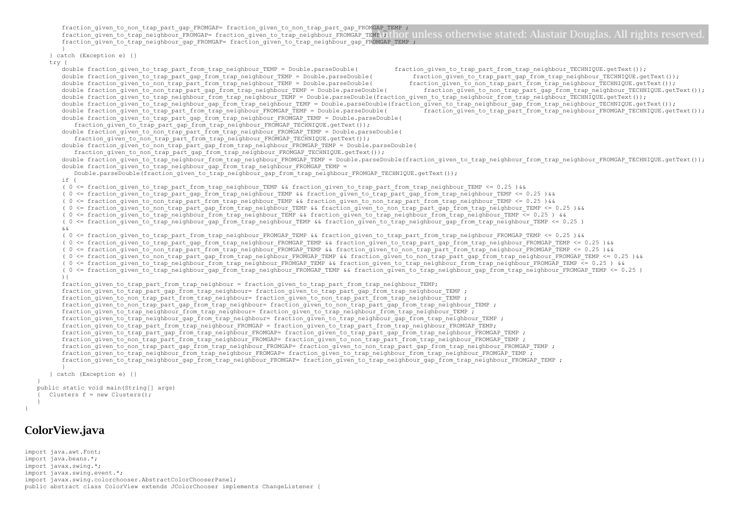```
fraction given to non trap part gap FROMGAP= fraction given to non trap part gap FROMGAP TEMP ;
      fraction_given_to_trap_neighbour_FROMGAP= fraction_given_to_trap_neighbour_FROMGAP_TEMP LITHOT unless otherwise stated: Alastair Douglas. All rights reserved
      fraction_given_to_trap_neighbour_gap_FROMGAP= fraction_given_to_trap_neighbour_gap_FROMGAP_TEMP ;
       }
   } catch (Exception e) {}
   try {
      double fraction given to trap part from trap neighbour TEMP = Double.parseDouble( fraction given to trap part from trap neighbour TECHNIQUE.getText());
      double fraction_given_to_trap_part_gap_from_trap_neighbour_TEMP = Double.parseDouble( fraction_given_to_trap_part_gap_from_trap_neighbour_TECHNIQUE.getText());<br>double fraction_given_to_non_trap_part_from_trap_neighbour_TEM
      double fraction_qiven_to_non_trap_part_from_trap_neighbour_TEMP = Double.parseDouble(
      double fraction_given_to_non_trap_part_gap_from_trap_neighbour_TEMP = Double.parseDouble( fraction_given_to_non_trap_part_gap_from_trap_neighbour_TECHNIQUE.getText());
      double fraction_given_to_trap_neighbour_from_trap_neighbour_TEMP = Double.parseDouble(fraction_given_to_trap_neighbour_from_trap_neighbour_TECHNIQUE.getText());
      double fraction_given_to_trap_neighbour_gap_from_trap_neighbour_TEMP = Double.parseDouble(fraction_given_to_trap_neighbour_gap_from_trap_neighbour_TECHNIQUE.getText());
      double fraction_given_to_trap_part_from_trap_neighbour_FROMGAP_TEMP = Double.parseDouble( fraction_given_to_trap_part_from_trap_neighbour_FROMGAP_TECHNIQUE.getText());
      double fraction given to trap part gap from trap neighbour FROMGAP TEMP = Double.parseDouble(
          fraction given to trap part gap from trap neighbour FROMGAP TECHNIQUE.getText());
      double fraction given to non trap part from trap neighbour FROMGAP TEMP = Double.parseDouble(
          fraction given to non trap part from trap_neighbour_FROMGAP_TECHNIQUE.getText());
      double fraction given to non trap part gap from trap neighbour FROMGAP TEMP = Double.parseDouble(
          fraction given to non trap part gap from trap neighbour FROMGAP TECHNIQUE.getText());
      double fraction given to trap_neighbour_from_trap_neighbour_FROMGAP_TEMP = Double.parseDouble(fraction given to trap_neighbour_from_trap_neighbour_FROMGAP_TECHNIQUE.getText());
      double fraction_given_to_trap_neighbour_gap_from_trap_neighbour_FROMGAP_TEMP =
          Double.parseDouble(fraction_given_to_trap_neighbour_gap_from_trap_neighbour_FROMGAP_TECHNIQUE.getText());
      i \in I( 0 <= fraction qiven to trap part from trap neighbour TEMP && fraction qiven to trap part from trap neighbour TEMP <= 0.25 )&&
      ( 0 <= fraction_given_to_trap_part_gap_from_trap_neighbour_TEMP && fraction_given_to_trap_part_gap_from_trap_neighbour_TEMP <= 0.25 )&&
      ( 0 <= fraction_given_to_non_trap_part_from_trap_neighbour_TEMP && fraction_given_to_non_trap_part_from_trap_neighbour_TEMP <= 0.25 )&&
       ( 0 <= fraction_given_to_non_trap_part_gap_from_trap_neighbour_TEMP && fraction_given_to_non_trap_part_gap_from_trap_neighbour_TEMP <= 0.25 )&&
      ( 0 <= fraction_given_to_trap_neighbour_from_trap_neighbour_TEMP && fraction_given_to_trap_neighbour_from_trap_neighbour_TEMP <= 0.25 ) &&
      ( 0 <= fraction qiven to trap neighbour qap from trap neighbour TEMP && fraction qiven to trap neighbour qap from trap neighbour TEMP <= 0.25 )
      \mathcal{L} \mathcal{L}( 0 <= fraction qiven to trap part from trap neighbour FROMGAP TEMP && fraction qiven to trap part from trap neighbour FROMGAP TEMP <= 0.25 )&&
      ( 0 <= fraction_given_to_trap_part_gap_from_trap_neighbour_FROMGAP_TEMP && fraction_given_to_trap_part_gap_from_trap_neighbour_FROMGAP_TEMP <= 0.25 )&&
      ( 0 <= fraction_given_to_non_trap_part_from_trap_neighbour_FROMGAP_TEMP && fraction_given_to_non_trap_part_from_trap_neighbour_FROMGAP_TEMP <= 0.25 )&&
      ( 0 <= fraction qiven to non trap part qap from trap neighbour FROMGAP TEMP && fraction qiven to non trap part qap from trap neighbour FROMGAP TEMP <= 0.25 )&&
       ( 0 <= fraction_given_to_trap_neighbour_from_trap_neighbour_FROMGAP_TEMP && fraction_given_to_trap_neighbour_from_trap_neighbour_FROMGAP_TEMP <= 0.25 ) &&
      ( 0 <= fraction given to trap neighbour gap from trap neighbour FROMGAP TEMP && fraction given to trap neighbour gap from trap neighbour FROMGAP TEMP <= 0.25 )
      ){
      fraction given to trap part from trap neighbour = fraction given to trap part from trap neighbour TEMP;
      fraction given to trap part gap from trap neighbour= fraction given to trap part gap from trap neighbour TEMP ;
      fraction_given_to_non_trap_part_from_trap_neighbour= fraction_given_to_non_trap_part_from_trap_neighbour_TEMP ;
      fraction_given_to_non_trap_part_gap_from_trap_neighbour= fraction_given_to_non trap part gap_from trap_neighbour TEMP ;
      fraction qiven to trap neighbour from trap neighbour= fraction qiven to trap neighbour from trap neighbour TEMP ;
      fraction given to trap neighbour gap from trap neighbour= fraction given to trap neighbour gap from trap neighbour TEMP ;
      fraction_given_to_trap_part_from_trap_neighbour_FROMGAP = fraction_given_to_trap_part_from_trap_neighbour_FROMGAP_TEMP;
      fraction_given_to_trap_part_gap_from_trap_neighbour_FROMGAP= fraction_given_to_trap_part_gap_from_trap_neighbour_FROMGAP_TEMP ;
      fraction given to non trap part from trap neighbour FROMGAP= fraction given to non trap part from trap neighbour FROMGAP TEMP ;
      fraction qiven to non trap part qap from trap neighbour FROMGAP= fraction qiven to non trap part qap from trap neighbour FROMGAP TEMP ;
      fraction given to trap neighbour from trap neighbour FROMGAP= fraction given to trap neighbour from trap_neighbour FROMGAP_TEMP ;
      fraction given to trap_neighbour_gap_from_trap_neighbour_FROMGAP= fraction_given_to_trap_neighbour_gap_from_trap_neighbour_FROMGAP_TEMP ;
       }
   } catch (Exception e) {}
public static void main(String[] args) 
   Clusters f = new Clusters();
```
#### ColorView.java

}

} }

```
import java.awt.Font;
import java.beans.*;
import javax.swing.*;
import javax.swing.event.*;
import javax.swing.colorchooser.AbstractColorChooserPanel;
public abstract class ColorView extends JColorChooser implements ChangeListener {
```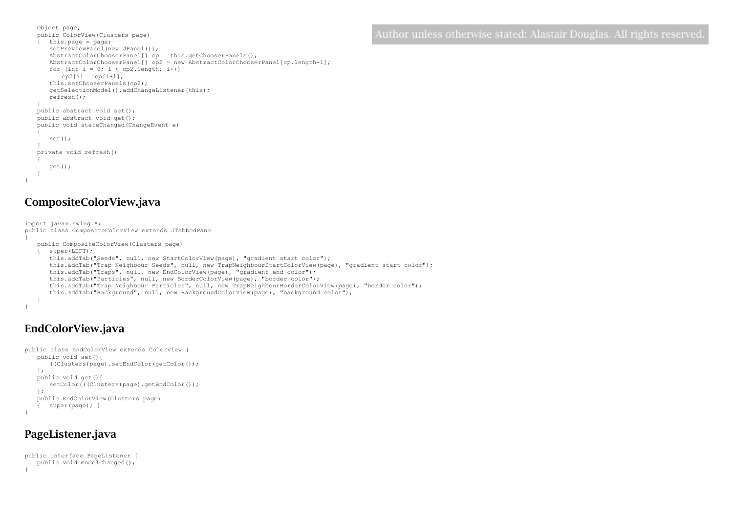```
Object page;
public ColorView(Clusters page)
{ this.page = page;
   setPreviewPanel(new JPanel());
   AbstractColorChooserPanel[] cp = this.getChooserPanels();
   AbstractColorChooserPanel[] cp2 = new AbstractColorChooserPanel[cp.length-1];
   for (int i = 0; i < cp2.length; i++)cp2[i] = cp[i+1];this.setChooserPanels(cp2);
   getSelectionModel().addChangeListener(this);
   refresh();
}
public abstract void set();
public abstract void get();
public void stateChanged(ChangeEvent e)
{
   set();
}
private void refresh()
{
   get();
}
```
### CompositeColorView.java

}

```
import javax.swing.*;
public class CompositeColorView extends JTabbedPane
{
   public CompositeColorView(Clusters page)
   { super(LEFT);
      this.addTab("Seeds", null, new StartColorView(page), "gradient start color");
      this.addTab("Trap Neighbour Seeds", null, new TrapNeighbourStartColorView(page), "gradient start color");
      this.addTab("Traps", null, new EndColorView(page), "gradient end color");
      this.addTab("Particles", null, new BorderColorView(page), "border color");
      this.addTab("Trap Neighbour Particles", null, new TrapNeighbourBorderColorView(page), "border color");
      this.addTab("Background", null, new BackgroundColorView(page), "background color");
   }
}
```
## EndColorView.java

```
public class EndColorView extends ColorView {
   public void set(){
      ((Clusters)page).setEndColor(getColor());
   };
   public void get(){
      setColor(((Clusters)page).getEndColor());
   };
   public EndColorView(Clusters page)
   { super(page); }
}
```
#### PageListener.java

```
public interface PageListener {
   public void modelChanged();
}
```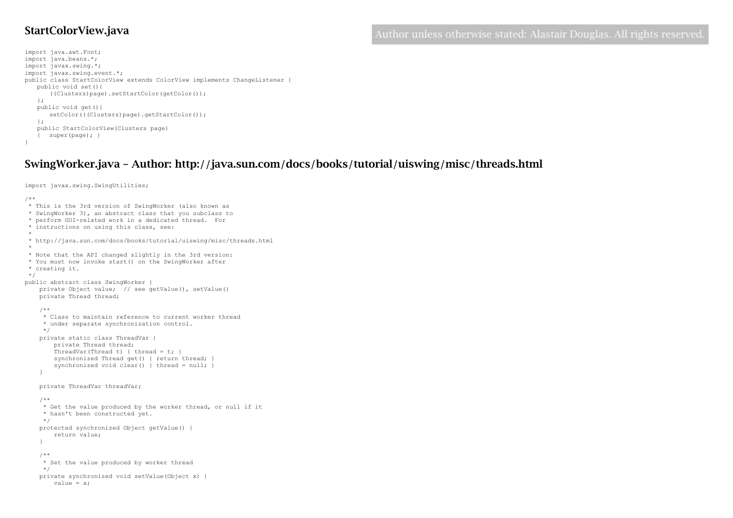#### StartColorView.java

import java.awt.Font; import java.beans.\*; import javax.swing.\*; import javax.swing.event.\*; public class StartColorView extends ColorView implements ChangeListener { public void set(){ ((Clusters)page).setStartColor(getColor()); }; public void get(){ setColor(((Clusters)page).getStartColor()); }; public StartColorView(Clusters page) { super(page); } }

# SwingWorker.java – Author: http://java.sun.com/docs/books/tutorial/uiswing/misc/threads.html

import javax.swing.SwingUtilities;

/\*\* \* This is the 3rd version of SwingWorker (also known as \* SwingWorker 3), an abstract class that you subclass to \* perform GUI-related work in a dedicated thread. For \* instructions on using this class, see: \* \* http://java.sun.com/docs/books/tutorial/uiswing/misc/threads.html \* \* Note that the API changed slightly in the 3rd version: \* You must now invoke start() on the SwingWorker after \* creating it. \*/ public abstract class SwingWorker { private Object value; // see getValue(), setValue() private Thread thread; /\*\* \* Class to maintain reference to current worker thread \* under separate synchronization control. \*/ private static class ThreadVar { private Thread thread; ThreadVar(Thread t) { thread =  $t$ ; } synchronized Thread get () { return thread; } synchronized void clear() { thread = null; } } private ThreadVar threadVar; /\*\* \* Get the value produced by the worker thread, or null if it \* hasn't been constructed yet. \*/ protected synchronized Object getValue() { return value; } /\*\* \* Set the value produced by worker thread \*/ private synchronized void setValue(Object x) { value =  $x$ ;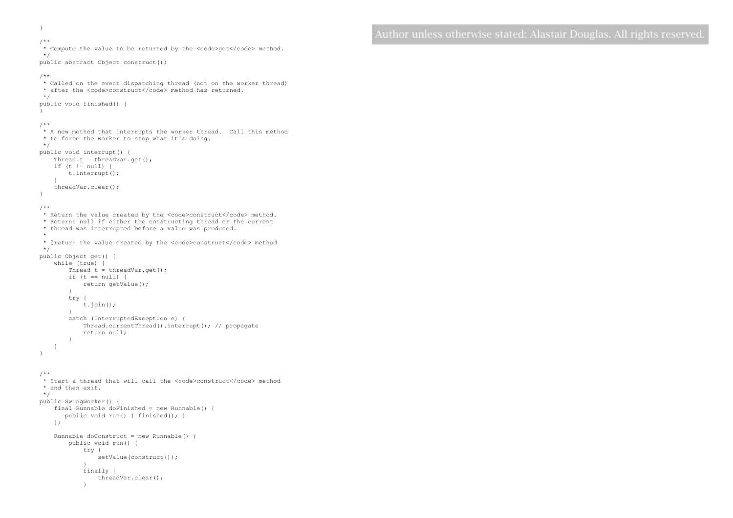```
 /** 
    * Compute the value to be returned by the <code>get</code> method.
     */
    public abstract Object construct();
    /**
     * Called on the event dispatching thread (not on the worker thread)
    * after the <code>construct</code> method has returned.
     */
    public void finished() {
    }
    /**
     * A new method that interrupts the worker thread. Call this method
     * to force the worker to stop what it's doing.
     */
    public void interrupt() {
       Thread t = threadVar.get();
      if (t != null) {
            t.interrupt();
 }
        threadVar.clear();
    }
    /**
    * Return the value created by the <code>construct</code> method.
     * Returns null if either the constructing thread or the current
     * thread was interrupted before a value was produced.
\star * @return the value created by the <code>construct</code> method
     */
    public Object get() {
        while (true) { 
          Thread t = threadVar.get();
           if (t == null) {
               return getValue();
 }
            try {
                t.join();
            }
            catch (InterruptedException e) {
               Thread.currentThread().interrupt(); // propagate
               return null;
 }
 }
    }
    /**
     * Start a thread that will call the <code>construct</code> method
     * and then exit.
     */
    public SwingWorker() {
        final Runnable doFinished = new Runnable() {
           public void run() { finished(); }
        };
        Runnable doConstruct = new Runnable() { 
            public void run() {
                try {
                    setValue(construct());
 }
                finally {
                    threadVar.clear();
 }
```